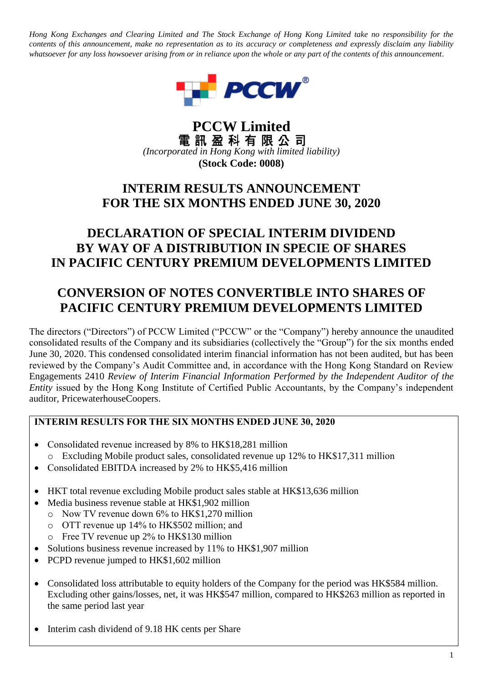*Hong Kong Exchanges and Clearing Limited and The Stock Exchange of Hong Kong Limited take no responsibility for the contents of this announcement, make no representation as to its accuracy or completeness and expressly disclaim any liability whatsoever for any loss howsoever arising from or in reliance upon the whole or any part of the contents of this announcement.*



# **PCCW Limited**<br>電訊盈科有限公司 *(Incorporated in Hong Kong with limited liability)* **(Stock Code: 0008)**

# **INTERIM RESULTS ANNOUNCEMENT FOR THE SIX MONTHS ENDED JUNE 30, 2020**

# **DECLARATION OF SPECIAL INTERIM DIVIDEND BY WAY OF A DISTRIBUTION IN SPECIE OF SHARES IN PACIFIC CENTURY PREMIUM DEVELOPMENTS LIMITED**

# **CONVERSION OF NOTES CONVERTIBLE INTO SHARES OF PACIFIC CENTURY PREMIUM DEVELOPMENTS LIMITED**

The directors ("Directors") of PCCW Limited ("PCCW" or the "Company") hereby announce the unaudited consolidated results of the Company and its subsidiaries (collectively the "Group") for the six months ended June 30, 2020. This condensed consolidated interim financial information has not been audited, but has been reviewed by the Company's Audit Committee and, in accordance with the Hong Kong Standard on Review Engagements 2410 *Review of Interim Financial Information Performed by the Independent Auditor of the Entity* issued by the Hong Kong Institute of Certified Public Accountants, by the Company's independent auditor, PricewaterhouseCoopers.

# **INTERIM RESULTS FOR THE SIX MONTHS ENDED JUNE 30, 2020**

- Consolidated revenue increased by 8% to HK\$18,281 million o Excluding Mobile product sales, consolidated revenue up 12% to HK\$17,311 million
- Consolidated EBITDA increased by 2% to HK\$5,416 million
- HKT total revenue excluding Mobile product sales stable at HK\$13,636 million
- Media business revenue stable at HK\$1,902 million
	- o Now TV revenue down 6% to HK\$1,270 million
	- o OTT revenue up 14% to HK\$502 million; and
	- o Free TV revenue up 2% to HK\$130 million
- Solutions business revenue increased by 11% to HK\$1,907 million
- PCPD revenue jumped to HK\$1,602 million
- Consolidated loss attributable to equity holders of the Company for the period was HK\$584 million. Excluding other gains/losses, net, it was HK\$547 million, compared to HK\$263 million as reported in the same period last year
- Interim cash dividend of 9.18 HK cents per Share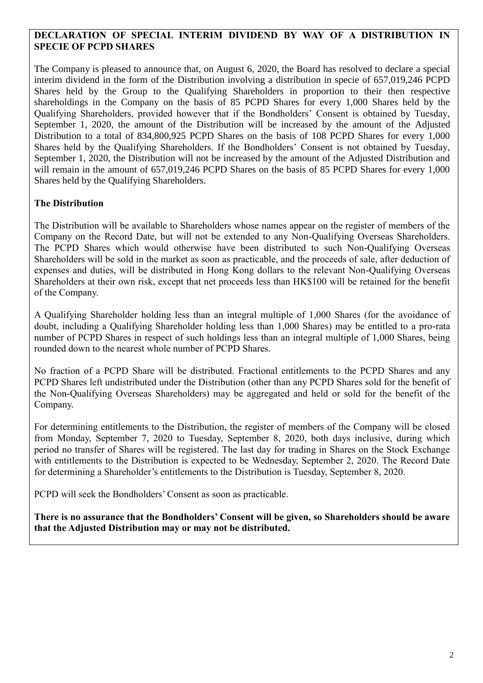# **DECLARATION OF SPECIAL INTERIM DIVIDEND BY WAY OF A DISTRIBUTION IN SPECIE OF PCPD SHARES**

The Company is pleased to announce that, on August 6, 2020, the Board has resolved to declare a special interim dividend in the form of the Distribution involving a distribution in specie of 657,019,246 PCPD Shares held by the Group to the Qualifying Shareholders in proportion to their then respective shareholdings in the Company on the basis of 85 PCPD Shares for every 1,000 Shares held by the Qualifying Shareholders, provided however that if the Bondholders' Consent is obtained by Tuesday, September 1, 2020, the amount of the Distribution will be increased by the amount of the Adjusted Distribution to a total of 834,800,925 PCPD Shares on the basis of 108 PCPD Shares for every 1,000 Shares held by the Qualifying Shareholders. If the Bondholders' Consent is not obtained by Tuesday, September 1, 2020, the Distribution will not be increased by the amount of the Adjusted Distribution and will remain in the amount of 657,019,246 PCPD Shares on the basis of 85 PCPD Shares for every 1,000 Shares held by the Qualifying Shareholders.

# **The Distribution**

The Distribution will be available to Shareholders whose names appear on the register of members of the Company on the Record Date, but will not be extended to any Non-Qualifying Overseas Shareholders. The PCPD Shares which would otherwise have been distributed to such Non-Qualifying Overseas Shareholders will be sold in the market as soon as practicable, and the proceeds of sale, after deduction of expenses and duties, will be distributed in Hong Kong dollars to the relevant Non-Qualifying Overseas Shareholders at their own risk, except that net proceeds less than HK\$100 will be retained for the benefit of the Company.

A Qualifying Shareholder holding less than an integral multiple of 1,000 Shares (for the avoidance of doubt, including a Qualifying Shareholder holding less than 1,000 Shares) may be entitled to a pro-rata number of PCPD Shares in respect of such holdings less than an integral multiple of 1,000 Shares, being rounded down to the nearest whole number of PCPD Shares.

No fraction of a PCPD Share will be distributed. Fractional entitlements to the PCPD Shares and any PCPD Shares left undistributed under the Distribution (other than any PCPD Shares sold for the benefit of the Non-Qualifying Overseas Shareholders) may be aggregated and held or sold for the benefit of the Company.

For determining entitlements to the Distribution, the register of members of the Company will be closed from Monday, September 7, 2020 to Tuesday, September 8, 2020, both days inclusive, during which period no transfer of Shares will be registered. The last day for trading in Shares on the Stock Exchange with entitlements to the Distribution is expected to be Wednesday, September 2, 2020. The Record Date for determining a Shareholder's entitlements to the Distribution is Tuesday, September 8, 2020.

PCPD will seek the Bondholders' Consent as soon as practicable.

**There is no assurance that the Bondholders' Consent will be given, so Shareholders should be aware that the Adjusted Distribution may or may not be distributed.**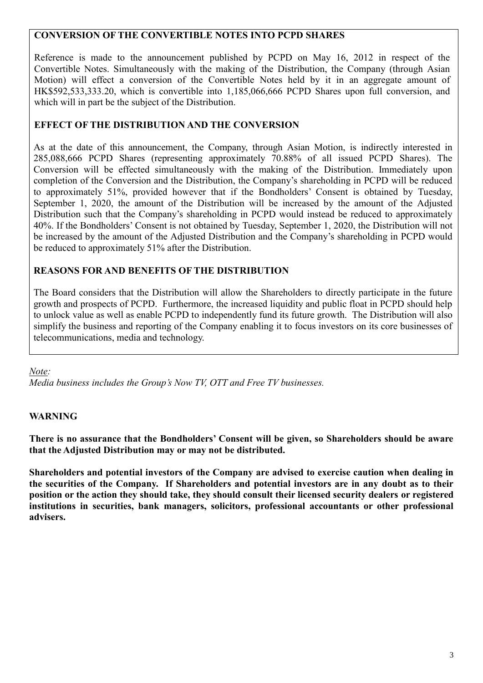# **CONVERSION OF THE CONVERTIBLE NOTES INTO PCPD SHARES**

Reference is made to the announcement published by PCPD on May 16, 2012 in respect of the Convertible Notes. Simultaneously with the making of the Distribution, the Company (through Asian Motion) will effect a conversion of the Convertible Notes held by it in an aggregate amount of HK\$592,533,333.20, which is convertible into 1,185,066,666 PCPD Shares upon full conversion, and which will in part be the subject of the Distribution.

# **EFFECT OF THE DISTRIBUTION AND THE CONVERSION**

As at the date of this announcement, the Company, through Asian Motion, is indirectly interested in 285,088,666 PCPD Shares (representing approximately 70.88% of all issued PCPD Shares). The Conversion will be effected simultaneously with the making of the Distribution. Immediately upon completion of the Conversion and the Distribution, the Company's shareholding in PCPD will be reduced to approximately 51%, provided however that if the Bondholders' Consent is obtained by Tuesday, September 1, 2020, the amount of the Distribution will be increased by the amount of the Adjusted Distribution such that the Company's shareholding in PCPD would instead be reduced to approximately 40%. If the Bondholders' Consent is not obtained by Tuesday, September 1, 2020, the Distribution will not be increased by the amount of the Adjusted Distribution and the Company's shareholding in PCPD would be reduced to approximately 51% after the Distribution.

# **REASONS FOR AND BENEFITS OF THE DISTRIBUTION**

The Board considers that the Distribution will allow the Shareholders to directly participate in the future growth and prospects of PCPD. Furthermore, the increased liquidity and public float in PCPD should help to unlock value as well as enable PCPD to independently fund its future growth. The Distribution will also simplify the business and reporting of the Company enabling it to focus investors on its core businesses of telecommunications, media and technology.

*Note:*

*Media business includes the Group's Now TV, OTT and Free TV businesses.*

# **WARNING**

**There is no assurance that the Bondholders' Consent will be given, so Shareholders should be aware that the Adjusted Distribution may or may not be distributed.** 

**Shareholders and potential investors of the Company are advised to exercise caution when dealing in the securities of the Company. If Shareholders and potential investors are in any doubt as to their position or the action they should take, they should consult their licensed security dealers or registered institutions in securities, bank managers, solicitors, professional accountants or other professional advisers.**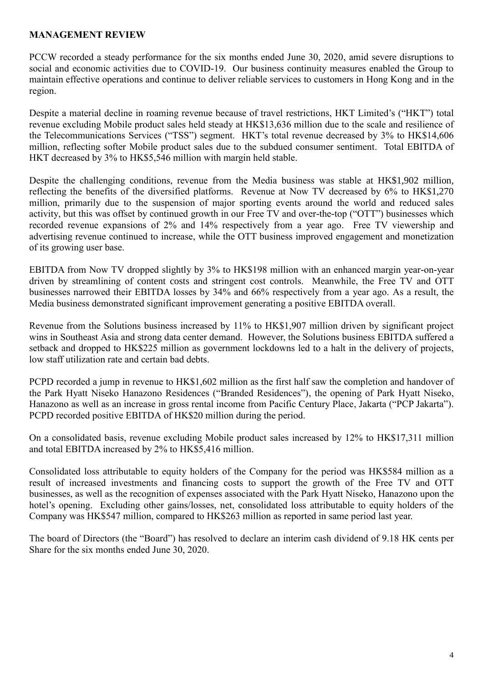#### **MANAGEMENT REVIEW**

PCCW recorded a steady performance for the six months ended June 30, 2020, amid severe disruptions to social and economic activities due to COVID-19. Our business continuity measures enabled the Group to maintain effective operations and continue to deliver reliable services to customers in Hong Kong and in the region.

Despite a material decline in roaming revenue because of travel restrictions, HKT Limited's ("HKT") total revenue excluding Mobile product sales held steady at HK\$13,636 million due to the scale and resilience of the Telecommunications Services ("TSS") segment. HKT's total revenue decreased by 3% to HK\$14,606 million, reflecting softer Mobile product sales due to the subdued consumer sentiment. Total EBITDA of HKT decreased by 3% to HK\$5,546 million with margin held stable.

Despite the challenging conditions, revenue from the Media business was stable at HK\$1,902 million, reflecting the benefits of the diversified platforms. Revenue at Now TV decreased by 6% to HK\$1,270 million, primarily due to the suspension of major sporting events around the world and reduced sales activity, but this was offset by continued growth in our Free TV and over-the-top ("OTT") businesses which recorded revenue expansions of 2% and 14% respectively from a year ago. Free TV viewership and advertising revenue continued to increase, while the OTT business improved engagement and monetization of its growing user base.

EBITDA from Now TV dropped slightly by 3% to HK\$198 million with an enhanced margin year-on-year driven by streamlining of content costs and stringent cost controls. Meanwhile, the Free TV and OTT businesses narrowed their EBITDA losses by 34% and 66% respectively from a year ago. As a result, the Media business demonstrated significant improvement generating a positive EBITDA overall.

Revenue from the Solutions business increased by 11% to HK\$1,907 million driven by significant project wins in Southeast Asia and strong data center demand. However, the Solutions business EBITDA suffered a setback and dropped to HK\$225 million as government lockdowns led to a halt in the delivery of projects, low staff utilization rate and certain bad debts.

PCPD recorded a jump in revenue to HK\$1,602 million as the first half saw the completion and handover of the Park Hyatt Niseko Hanazono Residences ("Branded Residences"), the opening of Park Hyatt Niseko, Hanazono as well as an increase in gross rental income from Pacific Century Place, Jakarta ("PCP Jakarta"). PCPD recorded positive EBITDA of HK\$20 million during the period.

On a consolidated basis, revenue excluding Mobile product sales increased by 12% to HK\$17,311 million and total EBITDA increased by 2% to HK\$5,416 million.

Consolidated loss attributable to equity holders of the Company for the period was HK\$584 million as a result of increased investments and financing costs to support the growth of the Free TV and OTT businesses, as well as the recognition of expenses associated with the Park Hyatt Niseko, Hanazono upon the hotel's opening. Excluding other gains/losses, net, consolidated loss attributable to equity holders of the Company was HK\$547 million, compared to HK\$263 million as reported in same period last year.

The board of Directors (the "Board") has resolved to declare an interim cash dividend of 9.18 HK cents per Share for the six months ended June 30, 2020.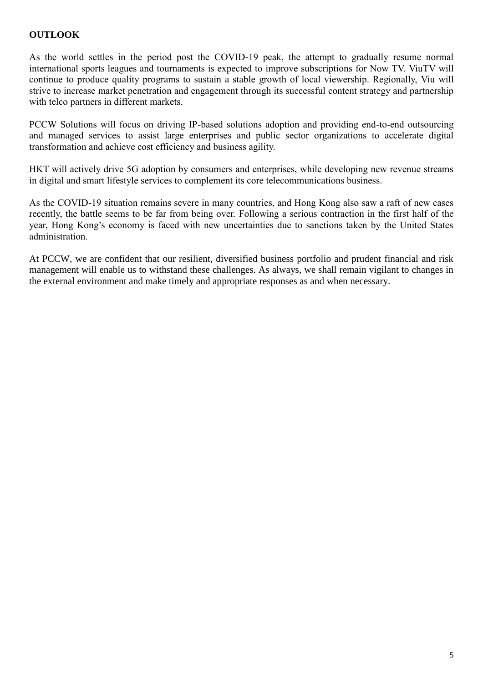# **OUTLOOK**

As the world settles in the period post the COVID-19 peak, the attempt to gradually resume normal international sports leagues and tournaments is expected to improve subscriptions for Now TV. ViuTV will continue to produce quality programs to sustain a stable growth of local viewership. Regionally, Viu will strive to increase market penetration and engagement through its successful content strategy and partnership with telco partners in different markets.

PCCW Solutions will focus on driving IP-based solutions adoption and providing end-to-end outsourcing and managed services to assist large enterprises and public sector organizations to accelerate digital transformation and achieve cost efficiency and business agility.

HKT will actively drive 5G adoption by consumers and enterprises, while developing new revenue streams in digital and smart lifestyle services to complement its core telecommunications business.

As the COVID-19 situation remains severe in many countries, and Hong Kong also saw a raft of new cases recently, the battle seems to be far from being over. Following a serious contraction in the first half of the year, Hong Kong's economy is faced with new uncertainties due to sanctions taken by the United States administration.

At PCCW, we are confident that our resilient, diversified business portfolio and prudent financial and risk management will enable us to withstand these challenges. As always, we shall remain vigilant to changes in the external environment and make timely and appropriate responses as and when necessary.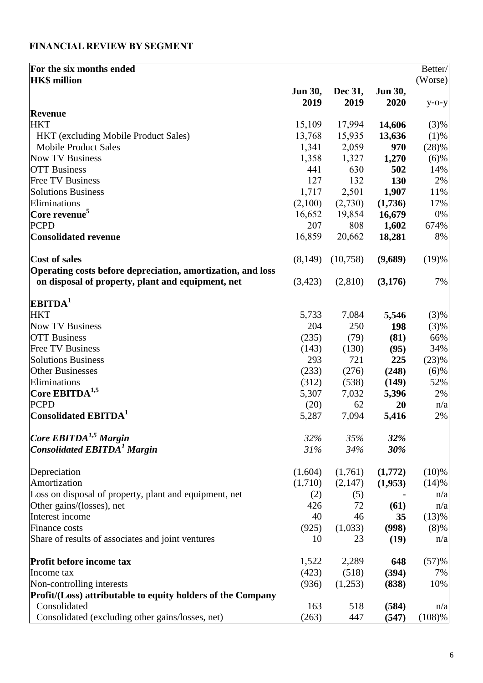# **FINANCIAL REVIEW BY SEGMENT**

| For the six months ended                                    |                 |                 |                 | Better/  |
|-------------------------------------------------------------|-----------------|-----------------|-----------------|----------|
| <b>HK\$</b> million                                         |                 |                 |                 | (Worse)  |
|                                                             | Jun 30,<br>2019 | Dec 31,<br>2019 | Jun 30,<br>2020 | $y$ -o-y |
| Revenue                                                     |                 |                 |                 |          |
| <b>HKT</b>                                                  | 15,109          | 17,994          | 14,606          | (3)%     |
| HKT (excluding Mobile Product Sales)                        | 13,768          | 15,935          | 13,636          | $(1)$ %  |
| <b>Mobile Product Sales</b>                                 | 1,341           | 2,059           | 970             | (28)%    |
| <b>Now TV Business</b>                                      | 1,358           | 1,327           | 1,270           | (6)%     |
| <b>OTT</b> Business                                         | 441             | 630             | 502             | 14%      |
| <b>Free TV Business</b>                                     | 127             | 132             | 130             | 2%       |
| <b>Solutions Business</b>                                   | 1,717           | 2,501           | 1,907           | 11%      |
| Eliminations                                                | (2,100)         | (2,730)         | (1,736)         | 17%      |
| Core revenue <sup>5</sup>                                   | 16,652          | 19,854          | 16,679          | 0%       |
| <b>PCPD</b>                                                 | 207             | 808             | 1,602           | 674%     |
| <b>Consolidated revenue</b>                                 | 16,859          | 20,662          | 18,281          | 8%       |
| Cost of sales                                               | (8,149)         | (10,758)        | (9,689)         | (19)%    |
| Operating costs before depreciation, amortization, and loss |                 |                 |                 |          |
| on disposal of property, plant and equipment, net           | (3,423)         | (2,810)         | (3,176)         | 7%       |
| EBITDA <sup>1</sup>                                         |                 |                 |                 |          |
| <b>HKT</b>                                                  | 5,733           | 7,084           | 5,546           | (3)%     |
| <b>Now TV Business</b>                                      | 204             | 250             | 198             | (3)%     |
| <b>OTT Business</b>                                         | (235)           | (79)            | (81)            | 66%      |
| <b>Free TV Business</b>                                     | (143)           | (130)           | (95)            | 34%      |
| <b>Solutions Business</b>                                   | 293             | 721             | 225             | (23)%    |
| <b>Other Businesses</b>                                     | (233)           | (276)           | (248)           | (6)%     |
| Eliminations                                                | (312)           | (538)           | (149)           | 52%      |
| Core $\mathrm{EBITDA}^{1,5}$                                | 5,307           | 7,032           | 5,396           | 2%       |
| <b>PCPD</b>                                                 | (20)            | 62              | 20              | n/a      |
| Consolidated $\text{EBITDA}^1$                              | 5,287           | 7,094           | 5,416           | 2%       |
| Core $EBITDA1,5$ Margin                                     | 32%             | 35%             | 32%             |          |
| <b>Consolidated EBITDA<sup>1</sup></b> Margin               | 31%             | 34%             | 30%             |          |
| Depreciation                                                | (1,604)         | (1,761)         | (1,772)         | $(10)\%$ |
| Amortization                                                | (1,710)         | (2,147)         | (1,953)         | (14)%    |
| Loss on disposal of property, plant and equipment, net      | (2)             | (5)             |                 | n/a      |
| Other gains/(losses), net                                   | 426             | 72              | (61)            | n/a      |
| Interest income                                             | 40              | 46              | 35              | (13)%    |
| Finance costs                                               | (925)           | (1,033)         | (998)           | (8)%     |
| Share of results of associates and joint ventures           | 10              | 23              | (19)            | n/a      |
| Profit before income tax                                    | 1,522           | 2,289           | 648             | (57)%    |
| Income tax                                                  | (423)           | (518)           | (394)           | 7%       |
| Non-controlling interests                                   | (936)           | (1,253)         | (838)           | 10%      |
| Profit/(Loss) attributable to equity holders of the Company |                 |                 |                 |          |
| Consolidated                                                | 163             | 518             | (584)           | n/a      |
| Consolidated (excluding other gains/losses, net)            | (263)           | 447             | (547)           | (108)%   |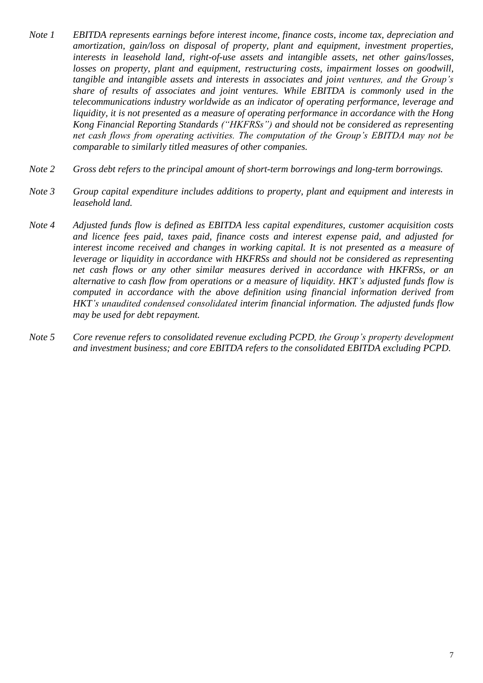- *Note 1 EBITDA represents earnings before interest income, finance costs, income tax, depreciation and amortization, gain/loss on disposal of property, plant and equipment, investment properties, interests in leasehold land, right-of-use assets and intangible assets, net other gains/losses, losses on property, plant and equipment, restructuring costs, impairment losses on goodwill, tangible and intangible assets and interests in associates and joint ventures, and the Group's share of results of associates and joint ventures. While EBITDA is commonly used in the telecommunications industry worldwide as an indicator of operating performance, leverage and liquidity, it is not presented as a measure of operating performance in accordance with the Hong Kong Financial Reporting Standards ("HKFRSs") and should not be considered as representing net cash flows from operating activities. The computation of the Group's EBITDA may not be comparable to similarly titled measures of other companies.*
- *Note 2 Gross debt refers to the principal amount of short-term borrowings and long-term borrowings.*
- *Note 3 Group capital expenditure includes additions to property, plant and equipment and interests in leasehold land.*
- *Note 4 Adjusted funds flow is defined as EBITDA less capital expenditures, customer acquisition costs and licence fees paid, taxes paid, finance costs and interest expense paid, and adjusted for interest income received and changes in working capital. It is not presented as a measure of leverage or liquidity in accordance with HKFRSs and should not be considered as representing net cash flows or any other similar measures derived in accordance with HKFRSs, or an alternative to cash flow from operations or a measure of liquidity. HKT's adjusted funds flow is computed in accordance with the above definition using financial information derived from HKT's unaudited condensed consolidated interim financial information. The adjusted funds flow may be used for debt repayment.*
- *Note 5 Core revenue refers to consolidated revenue excluding PCPD, the Group's property development and investment business; and core EBITDA refers to the consolidated EBITDA excluding PCPD.*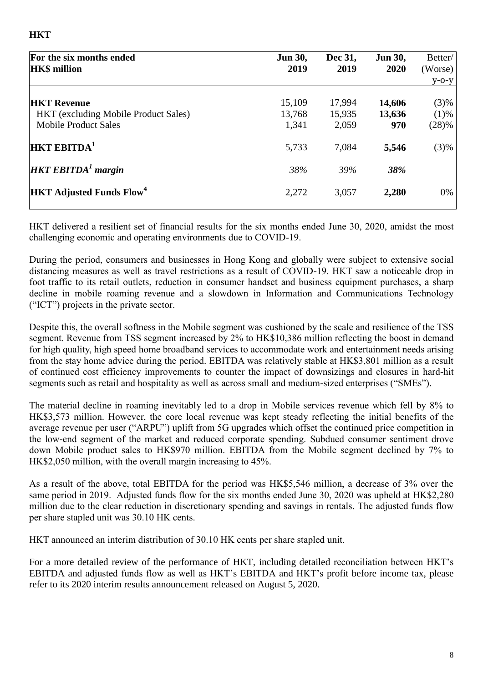| For the six months ended<br><b>HK\$</b> million | <b>Jun 30,</b><br>2019 | Dec 31,<br>2019 | <b>Jun 30,</b><br>2020 | Better/<br>(Worse) |
|-------------------------------------------------|------------------------|-----------------|------------------------|--------------------|
|                                                 |                        |                 |                        | $V-O-V$            |
| <b>HKT Revenue</b>                              | 15,109                 | 17,994          | 14,606                 | (3)%               |
| <b>HKT</b> (excluding Mobile Product Sales)     | 13,768                 | 15,935          | 13,636                 | (1)%               |
| <b>Mobile Product Sales</b>                     | 1,341                  | 2,059           | 970                    | (28)%              |
| $\rm  HKT$ EBITDA $\rm ^1$                      | 5,733                  | 7,084           | 5,546                  | (3)%               |
| $HKT$ EBITDA <sup>1</sup> margin                | 38%                    | 39%             | 38%                    |                    |
| <b>HKT Adjusted Funds Flow</b> <sup>4</sup>     | 2,272                  | 3,057           | 2,280                  | 0%                 |
|                                                 |                        |                 |                        |                    |

HKT delivered a resilient set of financial results for the six months ended June 30, 2020, amidst the most challenging economic and operating environments due to COVID-19.

During the period, consumers and businesses in Hong Kong and globally were subject to extensive social distancing measures as well as travel restrictions as a result of COVID-19. HKT saw a noticeable drop in foot traffic to its retail outlets, reduction in consumer handset and business equipment purchases, a sharp decline in mobile roaming revenue and a slowdown in Information and Communications Technology ("ICT") projects in the private sector.

Despite this, the overall softness in the Mobile segment was cushioned by the scale and resilience of the TSS segment. Revenue from TSS segment increased by 2% to HK\$10,386 million reflecting the boost in demand for high quality, high speed home broadband services to accommodate work and entertainment needs arising from the stay home advice during the period. EBITDA was relatively stable at HK\$3,801 million as a result of continued cost efficiency improvements to counter the impact of downsizings and closures in hard-hit segments such as retail and hospitality as well as across small and medium-sized enterprises ("SMEs").

The material decline in roaming inevitably led to a drop in Mobile services revenue which fell by 8% to HK\$3,573 million. However, the core local revenue was kept steady reflecting the initial benefits of the average revenue per user ("ARPU") uplift from 5G upgrades which offset the continued price competition in the low-end segment of the market and reduced corporate spending. Subdued consumer sentiment drove down Mobile product sales to HK\$970 million. EBITDA from the Mobile segment declined by 7% to HK\$2,050 million, with the overall margin increasing to 45%.

As a result of the above, total EBITDA for the period was HK\$5,546 million, a decrease of 3% over the same period in 2019. Adjusted funds flow for the six months ended June 30, 2020 was upheld at HK\$2,280 million due to the clear reduction in discretionary spending and savings in rentals. The adjusted funds flow per share stapled unit was 30.10 HK cents.

HKT announced an interim distribution of 30.10 HK cents per share stapled unit.

For a more detailed review of the performance of HKT, including detailed reconciliation between HKT's EBITDA and adjusted funds flow as well as HKT's EBITDA and HKT's profit before income tax, please refer to its 2020 interim results announcement released on August 5, 2020.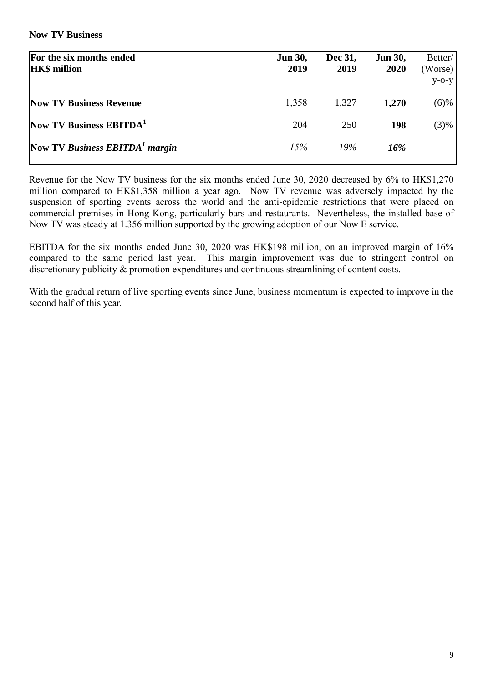**Now TV Business**

| For the six months ended<br><b>HK\$</b> million | <b>Jun 30,</b><br>2019 | Dec 31,<br>2019 | <b>Jun 30,</b><br>2020 | Better/<br>(Worse)<br>$y$ -o-y |
|-------------------------------------------------|------------------------|-----------------|------------------------|--------------------------------|
| <b>Now TV Business Revenue</b>                  | 1,358                  | 1,327           | 1,270                  | $(6)$ %                        |
| Now TV Business EBITDA <sup>1</sup>             | 204                    | 250             | 198                    | (3)%                           |
| Now TV Business $EBITDA1$ margin                | 15%                    | 19%             | 16%                    |                                |

Revenue for the Now TV business for the six months ended June 30, 2020 decreased by 6% to HK\$1,270 million compared to HK\$1,358 million a year ago. Now TV revenue was adversely impacted by the suspension of sporting events across the world and the anti-epidemic restrictions that were placed on commercial premises in Hong Kong, particularly bars and restaurants. Nevertheless, the installed base of Now TV was steady at 1.356 million supported by the growing adoption of our Now E service.

EBITDA for the six months ended June 30, 2020 was HK\$198 million, on an improved margin of 16% compared to the same period last year. This margin improvement was due to stringent control on discretionary publicity  $\&$  promotion expenditures and continuous streamlining of content costs.

With the gradual return of live sporting events since June, business momentum is expected to improve in the second half of this year.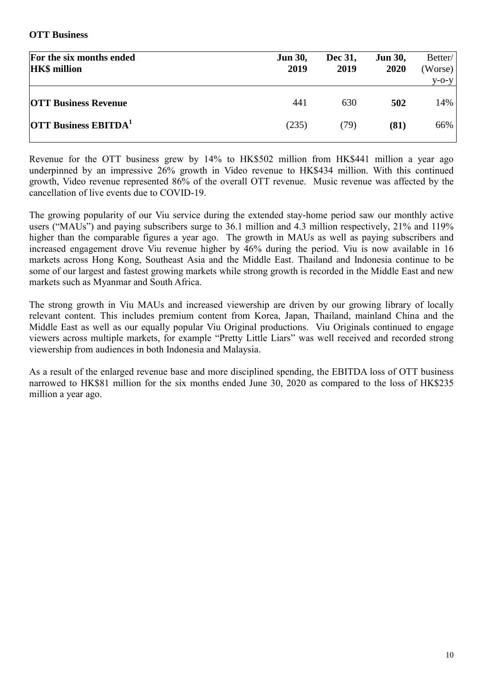#### **OTT Business**

| For the six months ended<br><b>HK\$</b> million | <b>Jun 30,</b><br>2019 | Dec 31,<br>2019 | <b>Jun 30,</b><br>2020 | Better/<br>(Worse)<br>$V-O-V$ |
|-------------------------------------------------|------------------------|-----------------|------------------------|-------------------------------|
| <b>OTT Business Revenue</b>                     | 441                    | 630             | 502                    | 14%                           |
| <b>OTT Business EBITDA</b> <sup>1</sup>         | (235)                  | (79)            | (81)                   | 66%                           |

Revenue for the OTT business grew by 14% to HK\$502 million from HK\$441 million a year ago underpinned by an impressive 26% growth in Video revenue to HK\$434 million. With this continued growth, Video revenue represented 86% of the overall OTT revenue. Music revenue was affected by the cancellation of live events due to COVID-19.

The growing popularity of our Viu service during the extended stay-home period saw our monthly active users ("MAUs") and paying subscribers surge to 36.1 million and 4.3 million respectively, 21% and 119% higher than the comparable figures a year ago. The growth in MAUs as well as paying subscribers and increased engagement drove Viu revenue higher by 46% during the period. Viu is now available in 16 markets across Hong Kong, Southeast Asia and the Middle East. Thailand and Indonesia continue to be some of our largest and fastest growing markets while strong growth is recorded in the Middle East and new markets such as Myanmar and South Africa.

The strong growth in Viu MAUs and increased viewership are driven by our growing library of locally relevant content. This includes premium content from Korea, Japan, Thailand, mainland China and the Middle East as well as our equally popular Viu Original productions. Viu Originals continued to engage viewers across multiple markets, for example "Pretty Little Liars" was well received and recorded strong viewership from audiences in both Indonesia and Malaysia.

As a result of the enlarged revenue base and more disciplined spending, the EBITDA loss of OTT business narrowed to HK\$81 million for the six months ended June 30, 2020 as compared to the loss of HK\$235 million a year ago.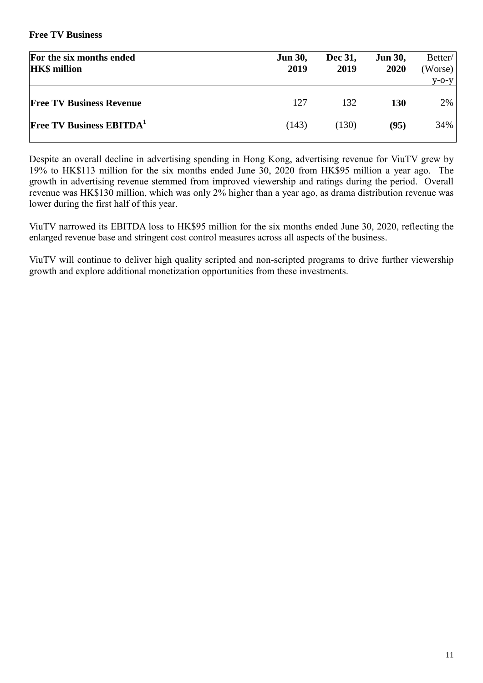#### **Free TV Business**

| For the six months ended<br><b>HK\$</b> million | <b>Jun 30,</b><br>2019 | Dec 31,<br>2019 | <b>Jun 30,</b><br>2020 | Better/<br>(Worse) |
|-------------------------------------------------|------------------------|-----------------|------------------------|--------------------|
|                                                 |                        |                 |                        | $V-O-V$            |
| <b>Free TV Business Revenue</b>                 | 127                    | 132             | <b>130</b>             | $2\%$              |
| <b>Free TV Business EBITDA</b>                  | (143)                  | (130)           | (95)                   | 34%                |

Despite an overall decline in advertising spending in Hong Kong, advertising revenue for ViuTV grew by 19% to HK\$113 million for the six months ended June 30, 2020 from HK\$95 million a year ago. The growth in advertising revenue stemmed from improved viewership and ratings during the period. Overall revenue was HK\$130 million, which was only 2% higher than a year ago, as drama distribution revenue was lower during the first half of this year.

ViuTV narrowed its EBITDA loss to HK\$95 million for the six months ended June 30, 2020, reflecting the enlarged revenue base and stringent cost control measures across all aspects of the business.

ViuTV will continue to deliver high quality scripted and non-scripted programs to drive further viewership growth and explore additional monetization opportunities from these investments.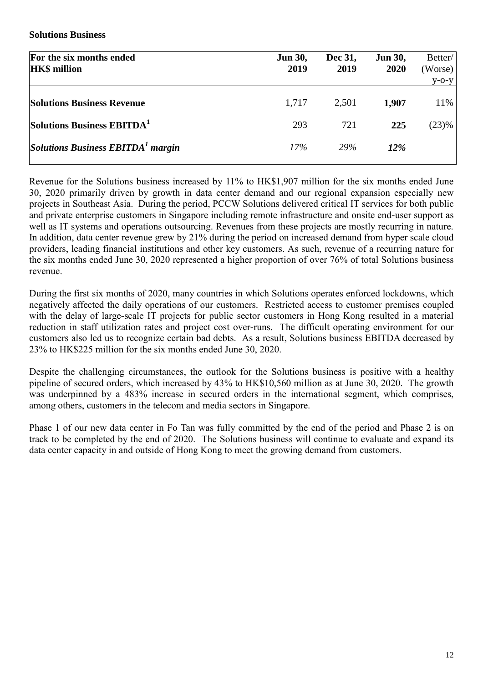**Solutions Business** 

| For the six months ended<br><b>HK\$</b> million                | <b>Jun 30,</b><br>2019 | Dec 31,<br>2019 | <b>Jun 30,</b><br>2020 | Better/<br>(Worse)<br>$y$ -O- $y$ |
|----------------------------------------------------------------|------------------------|-----------------|------------------------|-----------------------------------|
| <b>Solutions Business Revenue</b>                              | 1,717                  | 2,501           | 1,907                  | 11%                               |
| Solutions Business EBITDA <sup>1</sup>                         | 293                    | 721             | 225                    | (23)%                             |
| $\left  \right $ Solutions Business EBITDA <sup>1</sup> margin | $17\%$                 | <b>29%</b>      | <b>12%</b>             |                                   |

Revenue for the Solutions business increased by 11% to HK\$1,907 million for the six months ended June 30, 2020 primarily driven by growth in data center demand and our regional expansion especially new projects in Southeast Asia. During the period, PCCW Solutions delivered critical IT services for both public and private enterprise customers in Singapore including remote infrastructure and onsite end-user support as well as IT systems and operations outsourcing. Revenues from these projects are mostly recurring in nature. In addition, data center revenue grew by 21% during the period on increased demand from hyper scale cloud providers, leading financial institutions and other key customers. As such, revenue of a recurring nature for the six months ended June 30, 2020 represented a higher proportion of over 76% of total Solutions business revenue.

During the first six months of 2020, many countries in which Solutions operates enforced lockdowns, which negatively affected the daily operations of our customers. Restricted access to customer premises coupled with the delay of large-scale IT projects for public sector customers in Hong Kong resulted in a material reduction in staff utilization rates and project cost over-runs. The difficult operating environment for our customers also led us to recognize certain bad debts. As a result, Solutions business EBITDA decreased by 23% to HK\$225 million for the six months ended June 30, 2020.

Despite the challenging circumstances, the outlook for the Solutions business is positive with a healthy pipeline of secured orders, which increased by 43% to HK\$10,560 million as at June 30, 2020. The growth was underpinned by a 483% increase in secured orders in the international segment, which comprises, among others, customers in the telecom and media sectors in Singapore.

Phase 1 of our new data center in Fo Tan was fully committed by the end of the period and Phase 2 is on track to be completed by the end of 2020. The Solutions business will continue to evaluate and expand its data center capacity in and outside of Hong Kong to meet the growing demand from customers.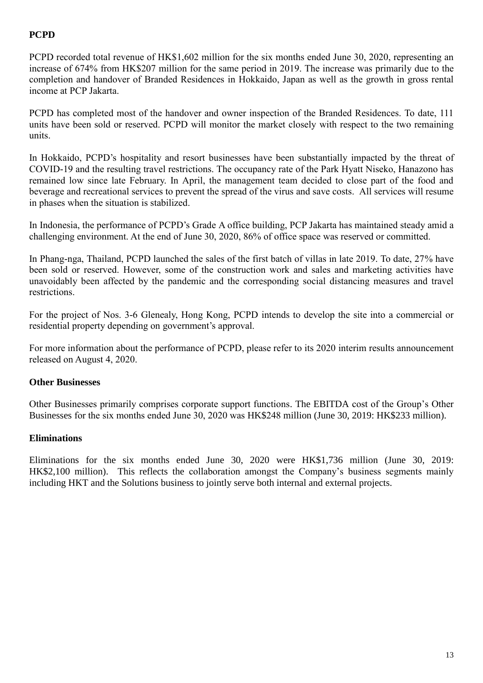# **PCPD**

PCPD recorded total revenue of HK\$1,602 million for the six months ended June 30, 2020, representing an increase of 674% from HK\$207 million for the same period in 2019. The increase was primarily due to the completion and handover of Branded Residences in Hokkaido, Japan as well as the growth in gross rental income at PCP Jakarta.

PCPD has completed most of the handover and owner inspection of the Branded Residences. To date, 111 units have been sold or reserved. PCPD will monitor the market closely with respect to the two remaining units.

In Hokkaido, PCPD's hospitality and resort businesses have been substantially impacted by the threat of COVID-19 and the resulting travel restrictions. The occupancy rate of the Park Hyatt Niseko, Hanazono has remained low since late February. In April, the management team decided to close part of the food and beverage and recreational services to prevent the spread of the virus and save costs. All services will resume in phases when the situation is stabilized.

In Indonesia, the performance of PCPD's Grade A office building, PCP Jakarta has maintained steady amid a challenging environment. At the end of June 30, 2020, 86% of office space was reserved or committed.

In Phang-nga, Thailand, PCPD launched the sales of the first batch of villas in late 2019. To date, 27% have been sold or reserved. However, some of the construction work and sales and marketing activities have unavoidably been affected by the pandemic and the corresponding social distancing measures and travel restrictions.

For the project of Nos. 3-6 Glenealy, Hong Kong, PCPD intends to develop the site into a commercial or residential property depending on government's approval.

For more information about the performance of PCPD, please refer to its 2020 interim results announcement released on August 4, 2020.

# **Other Businesses**

Other Businesses primarily comprises corporate support functions. The EBITDA cost of the Group's Other Businesses for the six months ended June 30, 2020 was HK\$248 million (June 30, 2019: HK\$233 million).

# **Eliminations**

Eliminations for the six months ended June 30, 2020 were HK\$1,736 million (June 30, 2019: HK\$2,100 million). This reflects the collaboration amongst the Company's business segments mainly including HKT and the Solutions business to jointly serve both internal and external projects.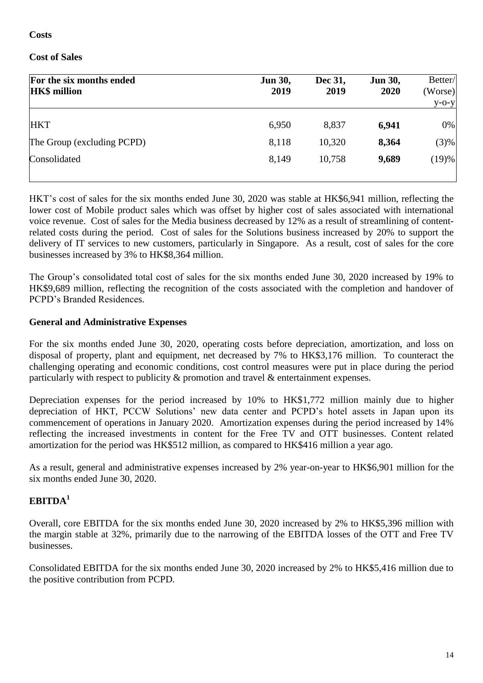#### **Costs**

# **Cost of Sales**

| For the six months ended<br><b>HK\$</b> million | <b>Jun 30,</b><br>2019 | Dec 31,<br>2019 | <b>Jun 30,</b><br>2020 | Better/<br>(Worse) |
|-------------------------------------------------|------------------------|-----------------|------------------------|--------------------|
|                                                 |                        |                 |                        | $y$ -O- $y$        |
| <b>HKT</b>                                      | 6,950                  | 8,837           | 6,941                  | 0%                 |
| The Group (excluding PCPD)                      | 8,118                  | 10,320          | 8,364                  | (3)%               |
| Consolidated                                    | 8,149                  | 10,758          | 9,689                  | (19)%              |
|                                                 |                        |                 |                        |                    |

HKT's cost of sales for the six months ended June 30, 2020 was stable at HK\$6,941 million, reflecting the lower cost of Mobile product sales which was offset by higher cost of sales associated with international voice revenue. Cost of sales for the Media business decreased by 12% as a result of streamlining of contentrelated costs during the period. Cost of sales for the Solutions business increased by 20% to support the delivery of IT services to new customers, particularly in Singapore. As a result, cost of sales for the core businesses increased by 3% to HK\$8,364 million.

The Group's consolidated total cost of sales for the six months ended June 30, 2020 increased by 19% to HK\$9,689 million, reflecting the recognition of the costs associated with the completion and handover of PCPD's Branded Residences.

# **General and Administrative Expenses**

For the six months ended June 30, 2020, operating costs before depreciation, amortization, and loss on disposal of property, plant and equipment, net decreased by 7% to HK\$3,176 million. To counteract the challenging operating and economic conditions, cost control measures were put in place during the period particularly with respect to publicity & promotion and travel & entertainment expenses.

Depreciation expenses for the period increased by 10% to HK\$1,772 million mainly due to higher depreciation of HKT, PCCW Solutions' new data center and PCPD's hotel assets in Japan upon its commencement of operations in January 2020. Amortization expenses during the period increased by 14% reflecting the increased investments in content for the Free TV and OTT businesses. Content related amortization for the period was HK\$512 million, as compared to HK\$416 million a year ago.

As a result, general and administrative expenses increased by 2% year-on-year to HK\$6,901 million for the six months ended June 30, 2020.

# **EBITDA<sup>1</sup>**

Overall, core EBITDA for the six months ended June 30, 2020 increased by 2% to HK\$5,396 million with the margin stable at 32%, primarily due to the narrowing of the EBITDA losses of the OTT and Free TV businesses.

Consolidated EBITDA for the six months ended June 30, 2020 increased by 2% to HK\$5,416 million due to the positive contribution from PCPD.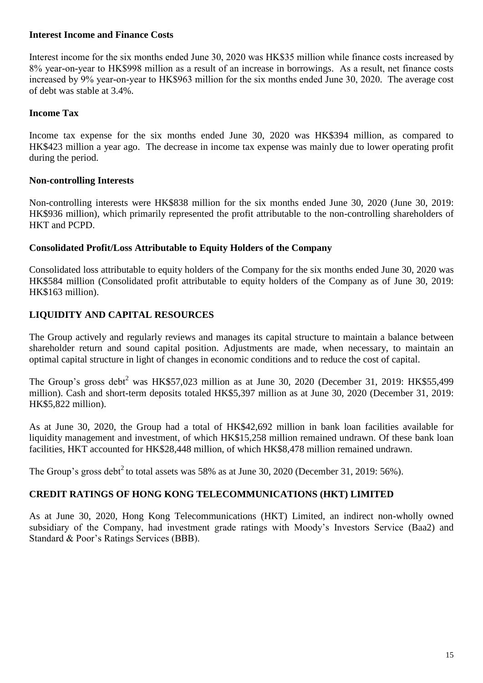#### **Interest Income and Finance Costs**

Interest income for the six months ended June 30, 2020 was HK\$35 million while finance costs increased by 8% year-on-year to HK\$998 million as a result of an increase in borrowings. As a result, net finance costs increased by 9% year-on-year to HK\$963 million for the six months ended June 30, 2020. The average cost of debt was stable at 3.4%.

#### **Income Tax**

Income tax expense for the six months ended June 30, 2020 was HK\$394 million, as compared to HK\$423 million a year ago. The decrease in income tax expense was mainly due to lower operating profit during the period.

#### **Non-controlling Interests**

Non-controlling interests were HK\$838 million for the six months ended June 30, 2020 (June 30, 2019: HK\$936 million), which primarily represented the profit attributable to the non-controlling shareholders of HKT and PCPD.

#### **Consolidated Profit/Loss Attributable to Equity Holders of the Company**

Consolidated loss attributable to equity holders of the Company for the six months ended June 30, 2020 was HK\$584 million (Consolidated profit attributable to equity holders of the Company as of June 30, 2019: HK\$163 million).

# **LIQUIDITY AND CAPITAL RESOURCES**

The Group actively and regularly reviews and manages its capital structure to maintain a balance between shareholder return and sound capital position. Adjustments are made, when necessary, to maintain an optimal capital structure in light of changes in economic conditions and to reduce the cost of capital.

The Group's gross debt<sup>2</sup> was HK\$57,023 million as at June 30, 2020 (December 31, 2019: HK\$55,499 million). Cash and short-term deposits totaled HK\$5,397 million as at June 30, 2020 (December 31, 2019: HK\$5,822 million).

As at June 30, 2020, the Group had a total of HK\$42,692 million in bank loan facilities available for liquidity management and investment, of which HK\$15,258 million remained undrawn. Of these bank loan facilities, HKT accounted for HK\$28,448 million, of which HK\$8,478 million remained undrawn.

The Group's gross debt<sup>2</sup> to total assets was 58% as at June 30, 2020 (December 31, 2019: 56%).

# **CREDIT RATINGS OF HONG KONG TELECOMMUNICATIONS (HKT) LIMITED**

As at June 30, 2020, Hong Kong Telecommunications (HKT) Limited, an indirect non-wholly owned subsidiary of the Company, had investment grade ratings with Moody's Investors Service (Baa2) and Standard & Poor's Ratings Services (BBB).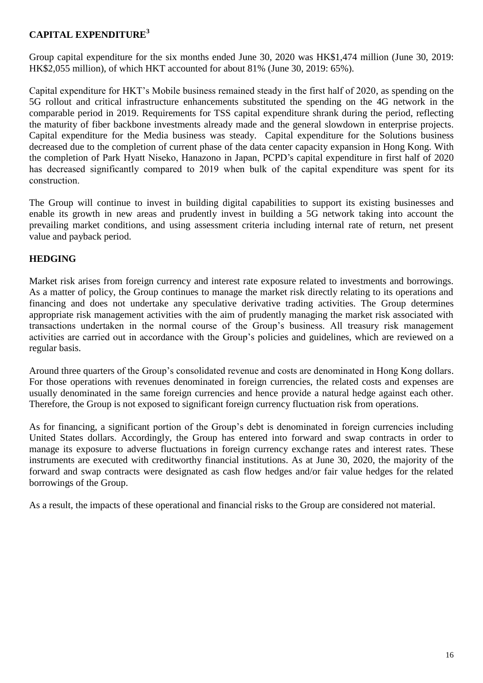# **CAPITAL EXPENDITURE<sup>3</sup>**

Group capital expenditure for the six months ended June 30, 2020 was HK\$1,474 million (June 30, 2019: HK\$2,055 million), of which HKT accounted for about 81% (June 30, 2019: 65%).

Capital expenditure for HKT's Mobile business remained steady in the first half of 2020, as spending on the 5G rollout and critical infrastructure enhancements substituted the spending on the 4G network in the comparable period in 2019. Requirements for TSS capital expenditure shrank during the period, reflecting the maturity of fiber backbone investments already made and the general slowdown in enterprise projects. Capital expenditure for the Media business was steady. Capital expenditure for the Solutions business decreased due to the completion of current phase of the data center capacity expansion in Hong Kong. With the completion of Park Hyatt Niseko, Hanazono in Japan, PCPD's capital expenditure in first half of 2020 has decreased significantly compared to 2019 when bulk of the capital expenditure was spent for its construction.

The Group will continue to invest in building digital capabilities to support its existing businesses and enable its growth in new areas and prudently invest in building a 5G network taking into account the prevailing market conditions, and using assessment criteria including internal rate of return, net present value and payback period.

# **HEDGING**

Market risk arises from foreign currency and interest rate exposure related to investments and borrowings. As a matter of policy, the Group continues to manage the market risk directly relating to its operations and financing and does not undertake any speculative derivative trading activities. The Group determines appropriate risk management activities with the aim of prudently managing the market risk associated with transactions undertaken in the normal course of the Group's business. All treasury risk management activities are carried out in accordance with the Group's policies and guidelines, which are reviewed on a regular basis.

Around three quarters of the Group's consolidated revenue and costs are denominated in Hong Kong dollars. For those operations with revenues denominated in foreign currencies, the related costs and expenses are usually denominated in the same foreign currencies and hence provide a natural hedge against each other. Therefore, the Group is not exposed to significant foreign currency fluctuation risk from operations.

As for financing, a significant portion of the Group's debt is denominated in foreign currencies including United States dollars. Accordingly, the Group has entered into forward and swap contracts in order to manage its exposure to adverse fluctuations in foreign currency exchange rates and interest rates. These instruments are executed with creditworthy financial institutions. As at June 30, 2020, the majority of the forward and swap contracts were designated as cash flow hedges and/or fair value hedges for the related borrowings of the Group.

As a result, the impacts of these operational and financial risks to the Group are considered not material.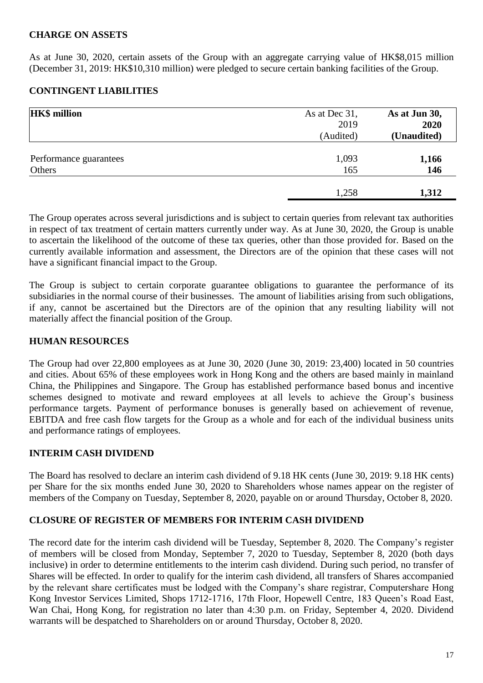# **CHARGE ON ASSETS**

As at June 30, 2020, certain assets of the Group with an aggregate carrying value of HK\$8,015 million (December 31, 2019: HK\$10,310 million) were pledged to secure certain banking facilities of the Group.

# **CONTINGENT LIABILITIES**

| <b>HK\$</b> million    | As at Dec 31, | As at Jun 30, |
|------------------------|---------------|---------------|
|                        | 2019          | 2020          |
|                        | (Audited)     | (Unaudited)   |
| Performance guarantees | 1,093         | 1,166         |
| Others                 | 165           | 146           |
|                        | 1,258         | 1,312         |

The Group operates across several jurisdictions and is subject to certain queries from relevant tax authorities in respect of tax treatment of certain matters currently under way. As at June 30, 2020, the Group is unable to ascertain the likelihood of the outcome of these tax queries, other than those provided for. Based on the currently available information and assessment, the Directors are of the opinion that these cases will not have a significant financial impact to the Group.

The Group is subject to certain corporate guarantee obligations to guarantee the performance of its subsidiaries in the normal course of their businesses. The amount of liabilities arising from such obligations, if any, cannot be ascertained but the Directors are of the opinion that any resulting liability will not materially affect the financial position of the Group.

#### **HUMAN RESOURCES**

The Group had over 22,800 employees as at June 30, 2020 (June 30, 2019: 23,400) located in 50 countries and cities. About 65% of these employees work in Hong Kong and the others are based mainly in mainland China, the Philippines and Singapore. The Group has established performance based bonus and incentive schemes designed to motivate and reward employees at all levels to achieve the Group's business performance targets. Payment of performance bonuses is generally based on achievement of revenue, EBITDA and free cash flow targets for the Group as a whole and for each of the individual business units and performance ratings of employees.

# **INTERIM CASH DIVIDEND**

The Board has resolved to declare an interim cash dividend of 9.18 HK cents (June 30, 2019: 9.18 HK cents) per Share for the six months ended June 30, 2020 to Shareholders whose names appear on the register of members of the Company on Tuesday, September 8, 2020, payable on or around Thursday, October 8, 2020.

# **CLOSURE OF REGISTER OF MEMBERS FOR INTERIM CASH DIVIDEND**

The record date for the interim cash dividend will be Tuesday, September 8, 2020. The Company's register of members will be closed from Monday, September 7, 2020 to Tuesday, September 8, 2020 (both days inclusive) in order to determine entitlements to the interim cash dividend. During such period, no transfer of Shares will be effected. In order to qualify for the interim cash dividend, all transfers of Shares accompanied by the relevant share certificates must be lodged with the Company's share registrar, Computershare Hong Kong Investor Services Limited, Shops 1712-1716, 17th Floor, Hopewell Centre, 183 Queen's Road East, Wan Chai, Hong Kong, for registration no later than 4:30 p.m. on Friday, September 4, 2020. Dividend warrants will be despatched to Shareholders on or around Thursday, October 8, 2020.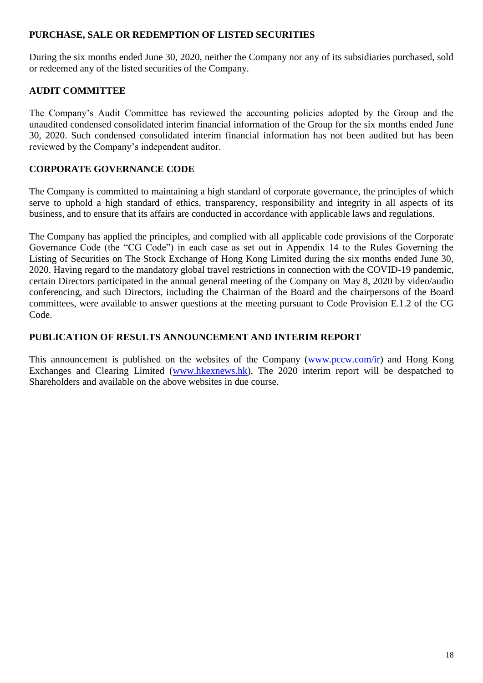## **PURCHASE, SALE OR REDEMPTION OF LISTED SECURITIES**

During the six months ended June 30, 2020, neither the Company nor any of its subsidiaries purchased, sold or redeemed any of the listed securities of the Company.

# **AUDIT COMMITTEE**

The Company's Audit Committee has reviewed the accounting policies adopted by the Group and the unaudited condensed consolidated interim financial information of the Group for the six months ended June 30, 2020. Such condensed consolidated interim financial information has not been audited but has been reviewed by the Company's independent auditor.

# **CORPORATE GOVERNANCE CODE**

The Company is committed to maintaining a high standard of corporate governance, the principles of which serve to uphold a high standard of ethics, transparency, responsibility and integrity in all aspects of its business, and to ensure that its affairs are conducted in accordance with applicable laws and regulations.

The Company has applied the principles, and complied with all applicable code provisions of the Corporate Governance Code (the "CG Code") in each case as set out in Appendix 14 to the Rules Governing the Listing of Securities on The Stock Exchange of Hong Kong Limited during the six months ended June 30, 2020. Having regard to the mandatory global travel restrictions in connection with the COVID-19 pandemic, certain Directors participated in the annual general meeting of the Company on May 8, 2020 by video/audio conferencing, and such Directors, including the Chairman of the Board and the chairpersons of the Board committees, were available to answer questions at the meeting pursuant to Code Provision E.1.2 of the CG Code.

# **PUBLICATION OF RESULTS ANNOUNCEMENT AND INTERIM REPORT**

This announcement is published on the websites of the Company [\(www.pccw.com/ir\)](http://www.pccw.com/ir) and Hong Kong Exchanges and Clearing Limited [\(www.hkexnews.hk\)](http://www.hkexnews.hk/). The 2020 interim report will be despatched to Shareholders and available on the above websites in due course.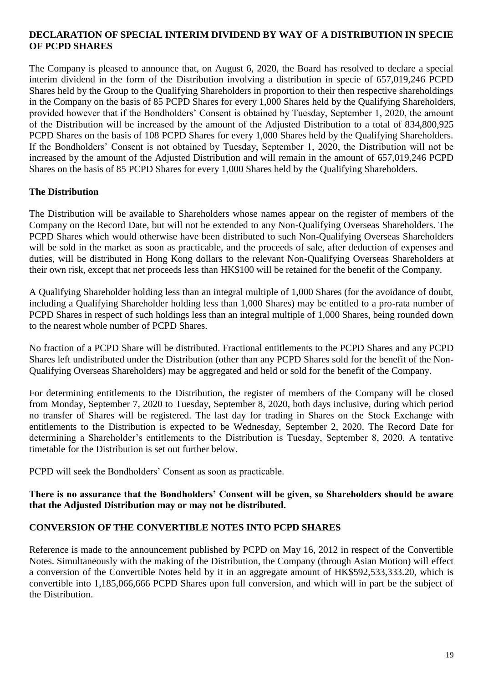#### **DECLARATION OF SPECIAL INTERIM DIVIDEND BY WAY OF A DISTRIBUTION IN SPECIE OF PCPD SHARES**

The Company is pleased to announce that, on August 6, 2020, the Board has resolved to declare a special interim dividend in the form of the Distribution involving a distribution in specie of 657,019,246 PCPD Shares held by the Group to the Qualifying Shareholders in proportion to their then respective shareholdings in the Company on the basis of 85 PCPD Shares for every 1,000 Shares held by the Qualifying Shareholders, provided however that if the Bondholders' Consent is obtained by Tuesday, September 1, 2020, the amount of the Distribution will be increased by the amount of the Adjusted Distribution to a total of 834,800,925 PCPD Shares on the basis of 108 PCPD Shares for every 1,000 Shares held by the Qualifying Shareholders. If the Bondholders' Consent is not obtained by Tuesday, September 1, 2020, the Distribution will not be increased by the amount of the Adjusted Distribution and will remain in the amount of 657,019,246 PCPD Shares on the basis of 85 PCPD Shares for every 1,000 Shares held by the Qualifying Shareholders.

# **The Distribution**

The Distribution will be available to Shareholders whose names appear on the register of members of the Company on the Record Date, but will not be extended to any Non-Qualifying Overseas Shareholders. The PCPD Shares which would otherwise have been distributed to such Non-Qualifying Overseas Shareholders will be sold in the market as soon as practicable, and the proceeds of sale, after deduction of expenses and duties, will be distributed in Hong Kong dollars to the relevant Non-Qualifying Overseas Shareholders at their own risk, except that net proceeds less than HK\$100 will be retained for the benefit of the Company.

A Qualifying Shareholder holding less than an integral multiple of 1,000 Shares (for the avoidance of doubt, including a Qualifying Shareholder holding less than 1,000 Shares) may be entitled to a pro-rata number of PCPD Shares in respect of such holdings less than an integral multiple of 1,000 Shares, being rounded down to the nearest whole number of PCPD Shares.

No fraction of a PCPD Share will be distributed. Fractional entitlements to the PCPD Shares and any PCPD Shares left undistributed under the Distribution (other than any PCPD Shares sold for the benefit of the Non-Qualifying Overseas Shareholders) may be aggregated and held or sold for the benefit of the Company.

For determining entitlements to the Distribution, the register of members of the Company will be closed from Monday, September 7, 2020 to Tuesday, September 8, 2020, both days inclusive, during which period no transfer of Shares will be registered. The last day for trading in Shares on the Stock Exchange with entitlements to the Distribution is expected to be Wednesday, September 2, 2020. The Record Date for determining a Shareholder's entitlements to the Distribution is Tuesday, September 8, 2020. A tentative timetable for the Distribution is set out further below.

PCPD will seek the Bondholders' Consent as soon as practicable.

# **There is no assurance that the Bondholders' Consent will be given, so Shareholders should be aware that the Adjusted Distribution may or may not be distributed.**

# **CONVERSION OF THE CONVERTIBLE NOTES INTO PCPD SHARES**

Reference is made to the announcement published by PCPD on May 16, 2012 in respect of the Convertible Notes. Simultaneously with the making of the Distribution, the Company (through Asian Motion) will effect a conversion of the Convertible Notes held by it in an aggregate amount of HK\$592,533,333.20, which is convertible into 1,185,066,666 PCPD Shares upon full conversion, and which will in part be the subject of the Distribution.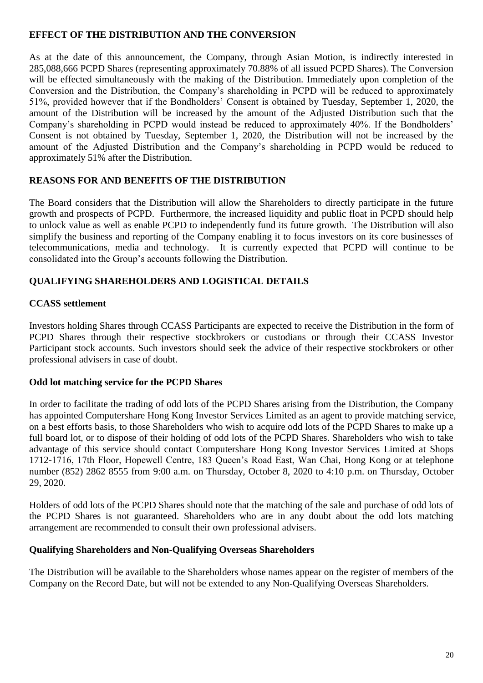## **EFFECT OF THE DISTRIBUTION AND THE CONVERSION**

As at the date of this announcement, the Company, through Asian Motion, is indirectly interested in 285,088,666 PCPD Shares (representing approximately 70.88% of all issued PCPD Shares). The Conversion will be effected simultaneously with the making of the Distribution. Immediately upon completion of the Conversion and the Distribution, the Company's shareholding in PCPD will be reduced to approximately 51%, provided however that if the Bondholders' Consent is obtained by Tuesday, September 1, 2020, the amount of the Distribution will be increased by the amount of the Adjusted Distribution such that the Company's shareholding in PCPD would instead be reduced to approximately 40%. If the Bondholders' Consent is not obtained by Tuesday, September 1, 2020, the Distribution will not be increased by the amount of the Adjusted Distribution and the Company's shareholding in PCPD would be reduced to approximately 51% after the Distribution.

# **REASONS FOR AND BENEFITS OF THE DISTRIBUTION**

The Board considers that the Distribution will allow the Shareholders to directly participate in the future growth and prospects of PCPD. Furthermore, the increased liquidity and public float in PCPD should help to unlock value as well as enable PCPD to independently fund its future growth. The Distribution will also simplify the business and reporting of the Company enabling it to focus investors on its core businesses of telecommunications, media and technology. It is currently expected that PCPD will continue to be consolidated into the Group's accounts following the Distribution.

# **QUALIFYING SHAREHOLDERS AND LOGISTICAL DETAILS**

# **CCASS settlement**

Investors holding Shares through CCASS Participants are expected to receive the Distribution in the form of PCPD Shares through their respective stockbrokers or custodians or through their CCASS Investor Participant stock accounts. Such investors should seek the advice of their respective stockbrokers or other professional advisers in case of doubt.

# **Odd lot matching service for the PCPD Shares**

In order to facilitate the trading of odd lots of the PCPD Shares arising from the Distribution, the Company has appointed Computershare Hong Kong Investor Services Limited as an agent to provide matching service, on a best efforts basis, to those Shareholders who wish to acquire odd lots of the PCPD Shares to make up a full board lot, or to dispose of their holding of odd lots of the PCPD Shares. Shareholders who wish to take advantage of this service should contact Computershare Hong Kong Investor Services Limited at Shops 1712-1716, 17th Floor, Hopewell Centre, 183 Queen's Road East, Wan Chai, Hong Kong or at telephone number (852) 2862 8555 from 9:00 a.m. on Thursday, October 8, 2020 to 4:10 p.m. on Thursday, October 29, 2020.

Holders of odd lots of the PCPD Shares should note that the matching of the sale and purchase of odd lots of the PCPD Shares is not guaranteed. Shareholders who are in any doubt about the odd lots matching arrangement are recommended to consult their own professional advisers.

# **Qualifying Shareholders and Non-Qualifying Overseas Shareholders**

The Distribution will be available to the Shareholders whose names appear on the register of members of the Company on the Record Date, but will not be extended to any Non-Qualifying Overseas Shareholders.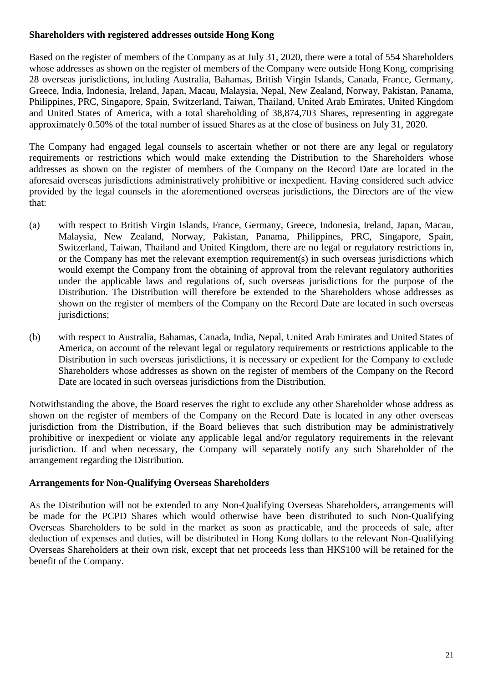#### **Shareholders with registered addresses outside Hong Kong**

Based on the register of members of the Company as at July 31, 2020, there were a total of 554 Shareholders whose addresses as shown on the register of members of the Company were outside Hong Kong, comprising 28 overseas jurisdictions, including Australia, Bahamas, British Virgin Islands, Canada, France, Germany, Greece, India, Indonesia, Ireland, Japan, Macau, Malaysia, Nepal, New Zealand, Norway, Pakistan, Panama, Philippines, PRC, Singapore, Spain, Switzerland, Taiwan, Thailand, United Arab Emirates, United Kingdom and United States of America, with a total shareholding of 38,874,703 Shares, representing in aggregate approximately 0.50% of the total number of issued Shares as at the close of business on July 31, 2020.

The Company had engaged legal counsels to ascertain whether or not there are any legal or regulatory requirements or restrictions which would make extending the Distribution to the Shareholders whose addresses as shown on the register of members of the Company on the Record Date are located in the aforesaid overseas jurisdictions administratively prohibitive or inexpedient. Having considered such advice provided by the legal counsels in the aforementioned overseas jurisdictions, the Directors are of the view that:

- (a) with respect to British Virgin Islands, France, Germany, Greece, Indonesia, Ireland, Japan, Macau, Malaysia, New Zealand, Norway, Pakistan, Panama, Philippines, PRC, Singapore, Spain, Switzerland, Taiwan, Thailand and United Kingdom, there are no legal or regulatory restrictions in, or the Company has met the relevant exemption requirement(s) in such overseas jurisdictions which would exempt the Company from the obtaining of approval from the relevant regulatory authorities under the applicable laws and regulations of, such overseas jurisdictions for the purpose of the Distribution. The Distribution will therefore be extended to the Shareholders whose addresses as shown on the register of members of the Company on the Record Date are located in such overseas jurisdictions;
- (b) with respect to Australia, Bahamas, Canada, India, Nepal, United Arab Emirates and United States of America, on account of the relevant legal or regulatory requirements or restrictions applicable to the Distribution in such overseas jurisdictions, it is necessary or expedient for the Company to exclude Shareholders whose addresses as shown on the register of members of the Company on the Record Date are located in such overseas jurisdictions from the Distribution.

Notwithstanding the above, the Board reserves the right to exclude any other Shareholder whose address as shown on the register of members of the Company on the Record Date is located in any other overseas jurisdiction from the Distribution, if the Board believes that such distribution may be administratively prohibitive or inexpedient or violate any applicable legal and/or regulatory requirements in the relevant jurisdiction. If and when necessary, the Company will separately notify any such Shareholder of the arrangement regarding the Distribution.

# **Arrangements for Non-Qualifying Overseas Shareholders**

As the Distribution will not be extended to any Non-Qualifying Overseas Shareholders, arrangements will be made for the PCPD Shares which would otherwise have been distributed to such Non-Qualifying Overseas Shareholders to be sold in the market as soon as practicable, and the proceeds of sale, after deduction of expenses and duties, will be distributed in Hong Kong dollars to the relevant Non-Qualifying Overseas Shareholders at their own risk, except that net proceeds less than HK\$100 will be retained for the benefit of the Company.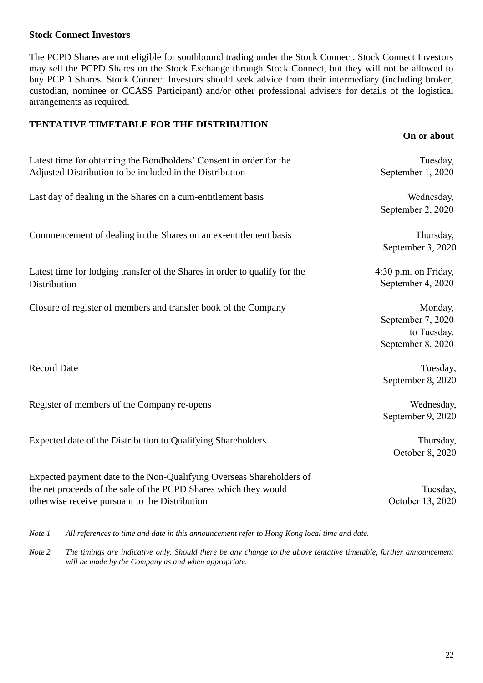#### **Stock Connect Investors**

The PCPD Shares are not eligible for southbound trading under the Stock Connect. Stock Connect Investors may sell the PCPD Shares on the Stock Exchange through Stock Connect, but they will not be allowed to buy PCPD Shares. Stock Connect Investors should seek advice from their intermediary (including broker, custodian, nominee or CCASS Participant) and/or other professional advisers for details of the logistical arrangements as required.

#### **TENTATIVE TIMETABLE FOR THE DISTRIBUTION**

|                                                                                                                                                                                            | On or about                                                      |
|--------------------------------------------------------------------------------------------------------------------------------------------------------------------------------------------|------------------------------------------------------------------|
| Latest time for obtaining the Bondholders' Consent in order for the<br>Adjusted Distribution to be included in the Distribution                                                            | Tuesday,<br>September 1, 2020                                    |
| Last day of dealing in the Shares on a cum-entitlement basis                                                                                                                               | Wednesday,<br>September 2, 2020                                  |
| Commencement of dealing in the Shares on an ex-entitlement basis                                                                                                                           | Thursday,<br>September 3, 2020                                   |
| Latest time for lodging transfer of the Shares in order to qualify for the<br>Distribution                                                                                                 | 4:30 p.m. on Friday,<br>September 4, 2020                        |
| Closure of register of members and transfer book of the Company                                                                                                                            | Monday,<br>September 7, 2020<br>to Tuesday,<br>September 8, 2020 |
| <b>Record Date</b>                                                                                                                                                                         | Tuesday,<br>September 8, 2020                                    |
| Register of members of the Company re-opens                                                                                                                                                | Wednesday,<br>September 9, 2020                                  |
| Expected date of the Distribution to Qualifying Shareholders                                                                                                                               | Thursday,<br>October 8, 2020                                     |
| Expected payment date to the Non-Qualifying Overseas Shareholders of<br>the net proceeds of the sale of the PCPD Shares which they would<br>otherwise receive pursuant to the Distribution | Tuesday,<br>October 13, 2020                                     |

*Note 1 All references to time and date in this announcement refer to Hong Kong local time and date.*

*Note 2 The timings are indicative only. Should there be any change to the above tentative timetable, further announcement will be made by the Company as and when appropriate.*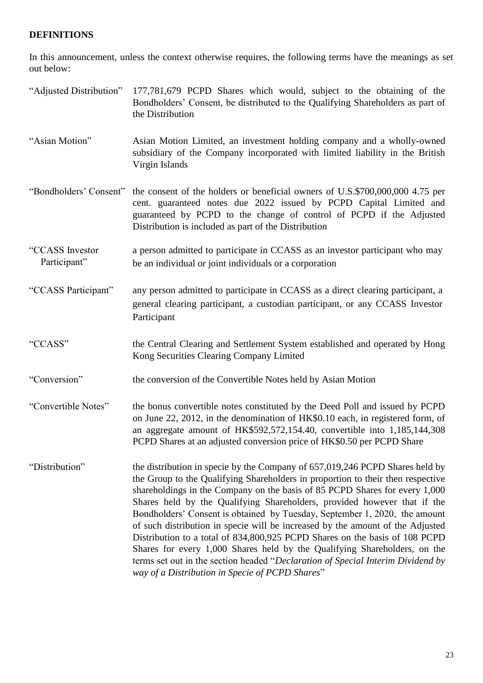# **DEFINITIONS**

In this announcement, unless the context otherwise requires, the following terms have the meanings as set out below:

| "Adjusted Distribution"         | 177,781,679 PCPD Shares which would, subject to the obtaining of the<br>Bondholders' Consent, be distributed to the Qualifying Shareholders as part of<br>the Distribution                                                                                                                                                                                                                                                                                                                                                                                                                                                                                                                                                                                                                   |
|---------------------------------|----------------------------------------------------------------------------------------------------------------------------------------------------------------------------------------------------------------------------------------------------------------------------------------------------------------------------------------------------------------------------------------------------------------------------------------------------------------------------------------------------------------------------------------------------------------------------------------------------------------------------------------------------------------------------------------------------------------------------------------------------------------------------------------------|
| "Asian Motion"                  | Asian Motion Limited, an investment holding company and a wholly-owned<br>subsidiary of the Company incorporated with limited liability in the British<br>Virgin Islands                                                                                                                                                                                                                                                                                                                                                                                                                                                                                                                                                                                                                     |
| "Bondholders' Consent"          | the consent of the holders or beneficial owners of U.S.\$700,000,000 4.75 per<br>cent. guaranteed notes due 2022 issued by PCPD Capital Limited and<br>guaranteed by PCPD to the change of control of PCPD if the Adjusted<br>Distribution is included as part of the Distribution                                                                                                                                                                                                                                                                                                                                                                                                                                                                                                           |
| "CCASS Investor<br>Participant" | a person admitted to participate in CCASS as an investor participant who may<br>be an individual or joint individuals or a corporation                                                                                                                                                                                                                                                                                                                                                                                                                                                                                                                                                                                                                                                       |
| "CCASS Participant"             | any person admitted to participate in CCASS as a direct clearing participant, a<br>general clearing participant, a custodian participant, or any CCASS Investor<br>Participant                                                                                                                                                                                                                                                                                                                                                                                                                                                                                                                                                                                                               |
| "CCASS"                         | the Central Clearing and Settlement System established and operated by Hong<br>Kong Securities Clearing Company Limited                                                                                                                                                                                                                                                                                                                                                                                                                                                                                                                                                                                                                                                                      |
| "Conversion"                    | the conversion of the Convertible Notes held by Asian Motion                                                                                                                                                                                                                                                                                                                                                                                                                                                                                                                                                                                                                                                                                                                                 |
| "Convertible Notes"             | the bonus convertible notes constituted by the Deed Poll and issued by PCPD<br>on June 22, 2012, in the denomination of HK\$0.10 each, in registered form, of<br>an aggregate amount of HK\$592,572,154.40, convertible into 1,185,144,308<br>PCPD Shares at an adjusted conversion price of HK\$0.50 per PCPD Share                                                                                                                                                                                                                                                                                                                                                                                                                                                                         |
| "Distribution"                  | the distribution in specie by the Company of 657,019,246 PCPD Shares held by<br>the Group to the Qualifying Shareholders in proportion to their then respective<br>shareholdings in the Company on the basis of 85 PCPD Shares for every 1,000<br>Shares held by the Qualifying Shareholders, provided however that if the<br>Bondholders' Consent is obtained by Tuesday, September 1, 2020, the amount<br>of such distribution in specie will be increased by the amount of the Adjusted<br>Distribution to a total of 834,800,925 PCPD Shares on the basis of 108 PCPD<br>Shares for every 1,000 Shares held by the Qualifying Shareholders, on the<br>terms set out in the section headed "Declaration of Special Interim Dividend by<br>way of a Distribution in Specie of PCPD Shares" |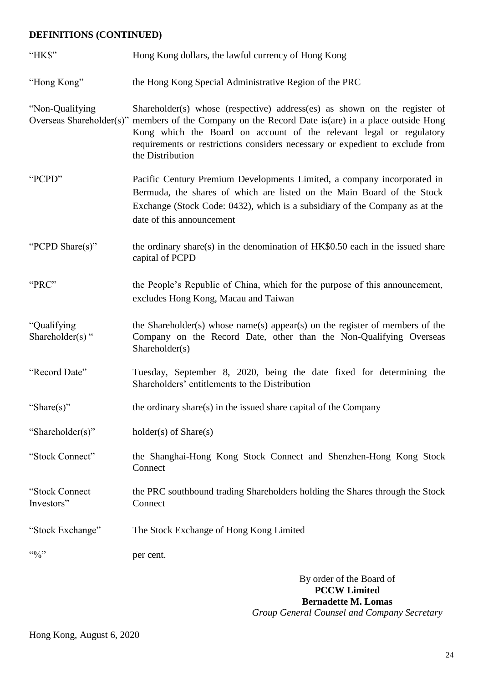# **DEFINITIONS (CONTINUED)**

| "HK\$"                          | Hong Kong dollars, the lawful currency of Hong Kong                                                                                                                                                                                                                                                                                                          |
|---------------------------------|--------------------------------------------------------------------------------------------------------------------------------------------------------------------------------------------------------------------------------------------------------------------------------------------------------------------------------------------------------------|
| "Hong Kong"                     | the Hong Kong Special Administrative Region of the PRC                                                                                                                                                                                                                                                                                                       |
| "Non-Qualifying                 | Shareholder(s) whose (respective) address(es) as shown on the register of<br>Overseas Shareholder(s)" members of the Company on the Record Date is (are) in a place outside Hong<br>Kong which the Board on account of the relevant legal or regulatory<br>requirements or restrictions considers necessary or expedient to exclude from<br>the Distribution |
| "PCPD"                          | Pacific Century Premium Developments Limited, a company incorporated in<br>Bermuda, the shares of which are listed on the Main Board of the Stock<br>Exchange (Stock Code: 0432), which is a subsidiary of the Company as at the<br>date of this announcement                                                                                                |
| "PCPD Share(s)"                 | the ordinary share(s) in the denomination of $HK$0.50$ each in the issued share<br>capital of PCPD                                                                                                                                                                                                                                                           |
| "PRC"                           | the People's Republic of China, which for the purpose of this announcement,<br>excludes Hong Kong, Macau and Taiwan                                                                                                                                                                                                                                          |
| "Qualifying<br>Shareholder(s) " | the Shareholder(s) whose name(s) appear(s) on the register of members of the<br>Company on the Record Date, other than the Non-Qualifying Overseas<br>Shareholder(s)                                                                                                                                                                                         |
| "Record Date"                   | Tuesday, September 8, 2020, being the date fixed for determining the<br>Shareholders' entitlements to the Distribution                                                                                                                                                                                                                                       |
| "Share(s)"                      | the ordinary share(s) in the issued share capital of the Company                                                                                                                                                                                                                                                                                             |
| "Shareholder(s)"                | $holder(s)$ of $Share(s)$                                                                                                                                                                                                                                                                                                                                    |
| "Stock Connect"                 | the Shanghai-Hong Kong Stock Connect and Shenzhen-Hong Kong Stock<br>Connect                                                                                                                                                                                                                                                                                 |
| "Stock Connect<br>Investors"    | the PRC southbound trading Shareholders holding the Shares through the Stock<br>Connect                                                                                                                                                                                                                                                                      |
| "Stock Exchange"                | The Stock Exchange of Hong Kong Limited                                                                                                                                                                                                                                                                                                                      |
| $4.6$ %                         | per cent.                                                                                                                                                                                                                                                                                                                                                    |

By order of the Board of **PCCW Limited Bernadette M. Lomas** *Group General Counsel and Company Secretary*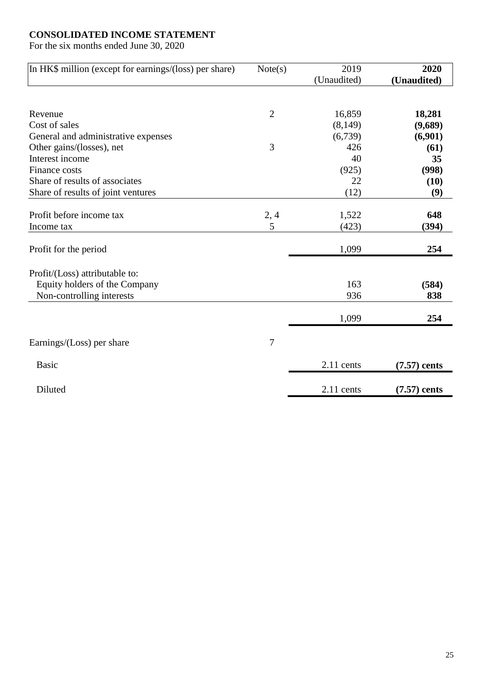# **CONSOLIDATED INCOME STATEMENT**

For the six months ended June 30, 2020

| In HK\$ million (except for earnings/(loss) per share) | Note(s)        | 2019        | 2020           |
|--------------------------------------------------------|----------------|-------------|----------------|
|                                                        |                | (Unaudited) | (Unaudited)    |
|                                                        |                |             |                |
| Revenue                                                | $\overline{2}$ | 16,859      | 18,281         |
| Cost of sales                                          |                | (8,149)     | (9,689)        |
| General and administrative expenses                    |                | (6,739)     | (6,901)        |
| Other gains/(losses), net                              | 3              | 426         | (61)           |
| Interest income                                        |                | 40          | 35             |
| Finance costs                                          |                | (925)       | (998)          |
| Share of results of associates                         |                | 22          | (10)           |
| Share of results of joint ventures                     |                | (12)        | (9)            |
|                                                        |                |             |                |
| Profit before income tax                               | 2,4            | 1,522       | 648            |
| Income tax                                             | 5              | (423)       | (394)          |
| Profit for the period                                  |                | 1,099       | 254            |
| Profit/(Loss) attributable to:                         |                |             |                |
| Equity holders of the Company                          |                | 163         | (584)          |
| Non-controlling interests                              |                | 936         | 838            |
|                                                        |                | 1,099       | 254            |
|                                                        |                |             |                |
| Earnings/ $(Loss)$ per share                           | $\overline{7}$ |             |                |
| <b>Basic</b>                                           |                | 2.11 cents  | $(7.57)$ cents |
| Diluted                                                |                | 2.11 cents  | $(7.57)$ cents |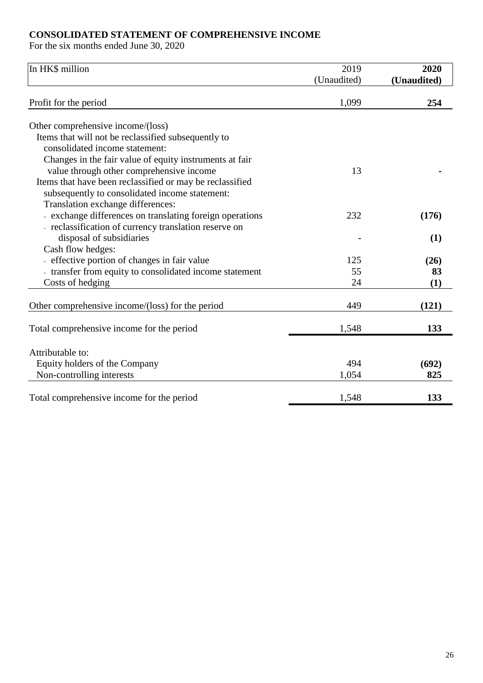# **CONSOLIDATED STATEMENT OF COMPREHENSIVE INCOME**

For the six months ended June 30, 2020

| In HK\$ million                                          | 2019<br>(Unaudited) | 2020<br>(Unaudited) |
|----------------------------------------------------------|---------------------|---------------------|
| Profit for the period                                    | 1,099               | 254                 |
| Other comprehensive income/(loss)                        |                     |                     |
| Items that will not be reclassified subsequently to      |                     |                     |
| consolidated income statement:                           |                     |                     |
| Changes in the fair value of equity instruments at fair  |                     |                     |
| value through other comprehensive income                 | 13                  |                     |
| Items that have been reclassified or may be reclassified |                     |                     |
| subsequently to consolidated income statement:           |                     |                     |
| Translation exchange differences:                        |                     |                     |
| - exchange differences on translating foreign operations | 232                 | (176)               |
| - reclassification of currency translation reserve on    |                     |                     |
| disposal of subsidiaries                                 |                     | (1)                 |
| Cash flow hedges:                                        |                     |                     |
| - effective portion of changes in fair value             | 125                 | (26)                |
| - transfer from equity to consolidated income statement  | 55                  | 83                  |
| Costs of hedging                                         | 24                  | (1)                 |
|                                                          |                     |                     |
| Other comprehensive income/(loss) for the period         | 449                 | (121)               |
| Total comprehensive income for the period                | 1,548               | 133                 |
|                                                          |                     |                     |
| Attributable to:                                         |                     |                     |
| Equity holders of the Company                            | 494                 | (692)               |
| Non-controlling interests                                | 1,054               | 825                 |
| Total comprehensive income for the period                | 1,548               | 133                 |
|                                                          |                     |                     |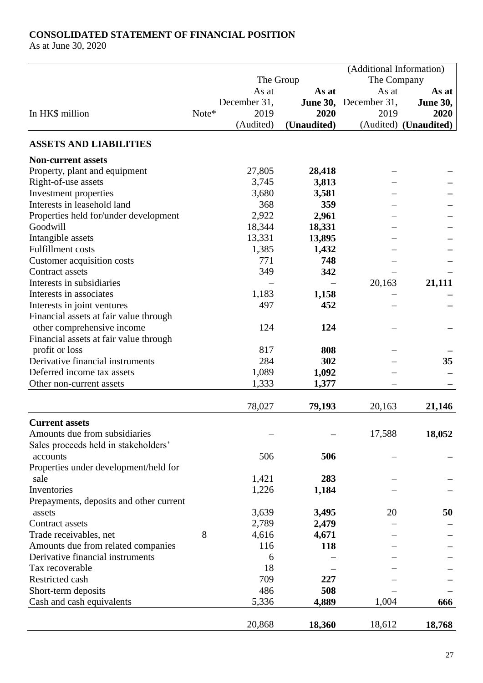# **CONSOLIDATED STATEMENT OF FINANCIAL POSITION**

As at June 30, 2020

|                                         |       |              |                 | (Additional Information) |                                |
|-----------------------------------------|-------|--------------|-----------------|--------------------------|--------------------------------|
|                                         |       |              | The Group       | The Company              |                                |
|                                         |       | As at        | As at           | As at                    | As at                          |
|                                         |       | December 31, | <b>June 30,</b> | December 31,             | <b>June 30,</b>                |
| In HK\$ million                         | Note* | 2019         | 2020            | 2019                     | 2020                           |
|                                         |       | (Audited)    | (Unaudited)     |                          | (Audited) ( <b>Unaudited</b> ) |
| <b>ASSETS AND LIABILITIES</b>           |       |              |                 |                          |                                |
| <b>Non-current assets</b>               |       |              |                 |                          |                                |
| Property, plant and equipment           |       | 27,805       | 28,418          |                          |                                |
| Right-of-use assets                     |       | 3,745        | 3,813           |                          |                                |
| Investment properties                   |       | 3,680        | 3,581           |                          |                                |
| Interests in leasehold land             |       | 368          | 359             |                          |                                |
| Properties held for/under development   |       | 2,922        | 2,961           |                          |                                |
| Goodwill                                |       | 18,344       | 18,331          |                          |                                |
| Intangible assets                       |       | 13,331       | 13,895          |                          |                                |
| <b>Fulfillment</b> costs                |       | 1,385        | 1,432           |                          |                                |
| Customer acquisition costs              |       | 771          | 748             |                          |                                |
| <b>Contract assets</b>                  |       | 349          | 342             |                          |                                |
| Interests in subsidiaries               |       |              |                 | 20,163                   | 21,111                         |
| Interests in associates                 |       | 1,183        | 1,158           |                          |                                |
| Interests in joint ventures             |       | 497          | 452             |                          |                                |
| Financial assets at fair value through  |       |              |                 |                          |                                |
| other comprehensive income              |       | 124          | 124             |                          |                                |
| Financial assets at fair value through  |       |              |                 |                          |                                |
| profit or loss                          |       | 817          | 808             |                          |                                |
| Derivative financial instruments        |       | 284          | 302             |                          | 35                             |
| Deferred income tax assets              |       | 1,089        | 1,092           |                          |                                |
| Other non-current assets                |       | 1,333        | 1,377           |                          |                                |
|                                         |       |              |                 |                          |                                |
|                                         |       | 78,027       | 79,193          | 20,163                   | 21,146                         |
| <b>Current assets</b>                   |       |              |                 |                          |                                |
| Amounts due from subsidiaries           |       |              |                 | 17,588                   | 18,052                         |
| Sales proceeds held in stakeholders'    |       |              |                 |                          |                                |
| accounts                                |       | 506          | 506             |                          |                                |
| Properties under development/held for   |       |              |                 |                          |                                |
| sale                                    |       | 1,421        | 283             |                          |                                |
| Inventories                             |       | 1,226        | 1,184           |                          |                                |
| Prepayments, deposits and other current |       |              |                 |                          |                                |
| assets                                  |       | 3,639        | 3,495           | 20                       | 50                             |
| Contract assets                         |       | 2,789        | 2,479           |                          |                                |
| Trade receivables, net                  | 8     | 4,616        | 4,671           |                          |                                |
| Amounts due from related companies      |       | 116          | 118             |                          |                                |
| Derivative financial instruments        |       | 6            |                 |                          |                                |
| Tax recoverable                         |       | 18           |                 |                          |                                |
| Restricted cash                         |       | 709          | 227             |                          |                                |
| Short-term deposits                     |       | 486          | 508             |                          |                                |
| Cash and cash equivalents               |       | 5,336        | 4,889           | 1,004                    | 666                            |
|                                         |       | 20,868       | 18,360          | 18,612                   | 18,768                         |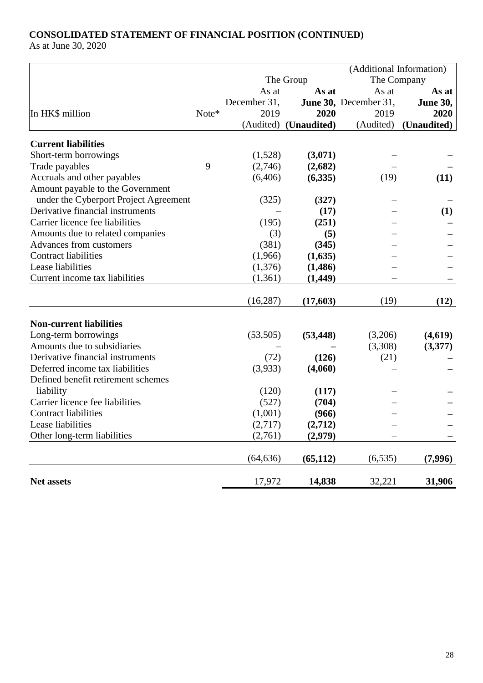# **CONSOLIDATED STATEMENT OF FINANCIAL POSITION (CONTINUED)**

As at June 30, 2020

|                                       |       |                          |             | (Additional Information) |                 |
|---------------------------------------|-------|--------------------------|-------------|--------------------------|-----------------|
|                                       |       | The Company<br>The Group |             |                          |                 |
|                                       |       | As at                    | As at       | As at                    | As at           |
|                                       |       | December 31,             |             | June 30, December 31,    | <b>June 30,</b> |
| In HK\$ million                       | Note* | 2019                     | 2020        | 2019                     | 2020            |
|                                       |       | (Audited)                | (Unaudited) | (Audited)                | (Unaudited)     |
| <b>Current liabilities</b>            |       |                          |             |                          |                 |
| Short-term borrowings                 |       | (1,528)                  | (3,071)     |                          |                 |
| Trade payables                        | 9     | (2,746)                  | (2,682)     |                          |                 |
| Accruals and other payables           |       | (6,406)                  | (6,335)     | (19)                     | (11)            |
| Amount payable to the Government      |       |                          |             |                          |                 |
| under the Cyberport Project Agreement |       | (325)                    | (327)       |                          |                 |
| Derivative financial instruments      |       |                          | (17)        |                          | (1)             |
| Carrier licence fee liabilities       |       | (195)                    | (251)       |                          |                 |
| Amounts due to related companies      |       | (3)                      | (5)         |                          |                 |
| Advances from customers               |       | (381)                    | (345)       |                          |                 |
| <b>Contract liabilities</b>           |       | (1,966)                  | (1,635)     |                          |                 |
| Lease liabilities                     |       | (1,376)                  | (1,486)     |                          |                 |
| Current income tax liabilities        |       | (1,361)                  | (1, 449)    |                          |                 |
|                                       |       | (16, 287)                | (17,603)    | (19)                     | (12)            |
|                                       |       |                          |             |                          |                 |
| <b>Non-current liabilities</b>        |       |                          |             |                          |                 |
| Long-term borrowings                  |       | (53,505)                 | (53, 448)   | (3,206)                  | (4,619)         |
| Amounts due to subsidiaries           |       |                          |             | (3,308)                  | (3,377)         |
| Derivative financial instruments      |       | (72)                     | (126)       | (21)                     |                 |
| Deferred income tax liabilities       |       | (3,933)                  | (4,060)     |                          |                 |
| Defined benefit retirement schemes    |       |                          |             |                          |                 |
| liability                             |       | (120)                    | (117)       |                          |                 |
| Carrier licence fee liabilities       |       | (527)                    | (704)       |                          |                 |
| <b>Contract liabilities</b>           |       | (1,001)                  | (966)       |                          |                 |
| Lease liabilities                     |       | (2,717)                  | (2,712)     |                          |                 |
| Other long-term liabilities           |       | (2,761)                  | (2,979)     |                          |                 |
|                                       |       | (64, 636)                | (65, 112)   | (6, 535)                 | (7,996)         |
| Net assets                            |       | 17,972                   | 14,838      | 32,221                   | 31,906          |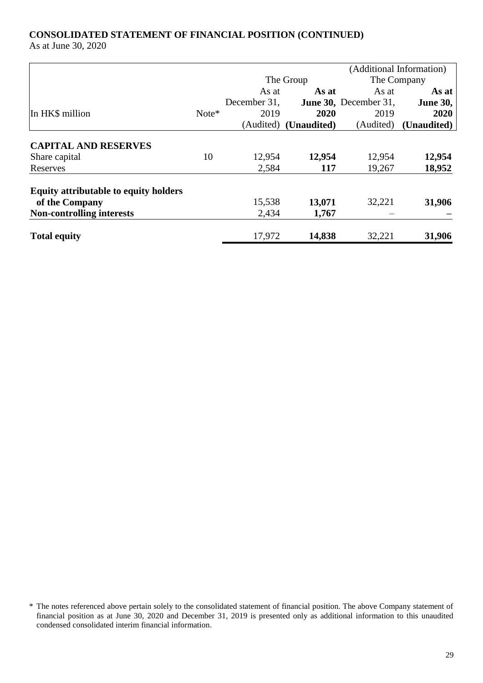# **CONSOLIDATED STATEMENT OF FINANCIAL POSITION (CONTINUED)**

As at June 30, 2020

|                                              |         |              |                                | (Additional Information) |                 |
|----------------------------------------------|---------|--------------|--------------------------------|--------------------------|-----------------|
|                                              |         |              | The Group                      |                          | The Company     |
|                                              |         | As at        | As at                          | As at                    | As at           |
|                                              |         | December 31, |                                | June 30, December 31,    | <b>June 30,</b> |
| In HK\$ million                              | $Note*$ | 2019         | 2020                           | 2019                     | 2020            |
|                                              |         |              | (Audited) ( <b>Unaudited</b> ) | (Audited)                | (Unaudited)     |
| <b>CAPITAL AND RESERVES</b>                  |         |              |                                |                          |                 |
| Share capital                                | 10      | 12,954       | 12,954                         | 12,954                   | 12,954          |
| Reserves                                     |         | 2,584        | 117                            | 19,267                   | 18,952          |
| <b>Equity attributable to equity holders</b> |         |              |                                |                          |                 |
| of the Company                               |         | 15,538       | 13,071                         | 32,221                   | 31,906          |
| <b>Non-controlling interests</b>             |         | 2,434        | 1,767                          |                          |                 |
| <b>Total equity</b>                          |         | 17,972       | 14,838                         | 32,221                   | 31,906          |

<sup>\*</sup> The notes referenced above pertain solely to the consolidated statement of financial position. The above Company statement of financial position as at June 30, 2020 and December 31, 2019 is presented only as additional information to this unaudited condensed consolidated interim financial information.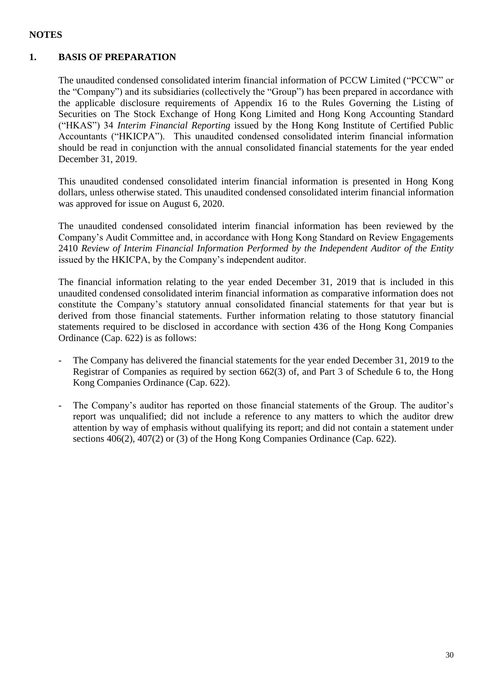# **NOTES**

# **1. BASIS OF PREPARATION**

The unaudited condensed consolidated interim financial information of PCCW Limited ("PCCW" or the "Company") and its subsidiaries (collectively the "Group") has been prepared in accordance with the applicable disclosure requirements of Appendix 16 to the Rules Governing the Listing of Securities on The Stock Exchange of Hong Kong Limited and Hong Kong Accounting Standard ("HKAS") 34 *Interim Financial Reporting* issued by the Hong Kong Institute of Certified Public Accountants ("HKICPA"). This unaudited condensed consolidated interim financial information should be read in conjunction with the annual consolidated financial statements for the year ended December 31, 2019.

This unaudited condensed consolidated interim financial information is presented in Hong Kong dollars, unless otherwise stated. This unaudited condensed consolidated interim financial information was approved for issue on August 6, 2020.

The unaudited condensed consolidated interim financial information has been reviewed by the Company's Audit Committee and, in accordance with Hong Kong Standard on Review Engagements 2410 *Review of Interim Financial Information Performed by the Independent Auditor of the Entity* issued by the HKICPA, by the Company's independent auditor.

The financial information relating to the year ended December 31, 2019 that is included in this unaudited condensed consolidated interim financial information as comparative information does not constitute the Company's statutory annual consolidated financial statements for that year but is derived from those financial statements. Further information relating to those statutory financial statements required to be disclosed in accordance with section 436 of the Hong Kong Companies Ordinance (Cap. 622) is as follows:

- The Company has delivered the financial statements for the year ended December 31, 2019 to the Registrar of Companies as required by section 662(3) of, and Part 3 of Schedule 6 to, the Hong Kong Companies Ordinance (Cap. 622).
- The Company's auditor has reported on those financial statements of the Group. The auditor's report was unqualified; did not include a reference to any matters to which the auditor drew attention by way of emphasis without qualifying its report; and did not contain a statement under sections 406(2), 407(2) or (3) of the Hong Kong Companies Ordinance (Cap. 622).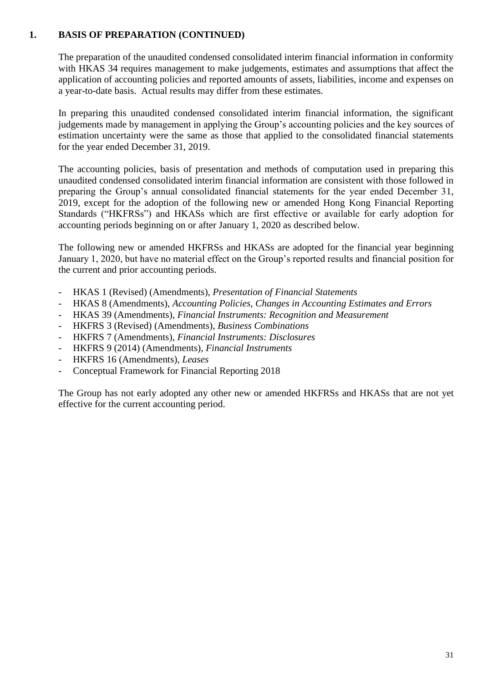# **1. BASIS OF PREPARATION (CONTINUED)**

The preparation of the unaudited condensed consolidated interim financial information in conformity with HKAS 34 requires management to make judgements, estimates and assumptions that affect the application of accounting policies and reported amounts of assets, liabilities, income and expenses on a year-to-date basis. Actual results may differ from these estimates.

In preparing this unaudited condensed consolidated interim financial information, the significant judgements made by management in applying the Group's accounting policies and the key sources of estimation uncertainty were the same as those that applied to the consolidated financial statements for the year ended December 31, 2019.

The accounting policies, basis of presentation and methods of computation used in preparing this unaudited condensed consolidated interim financial information are consistent with those followed in preparing the Group's annual consolidated financial statements for the year ended December 31, 2019, except for the adoption of the following new or amended Hong Kong Financial Reporting Standards ("HKFRSs") and HKASs which are first effective or available for early adoption for accounting periods beginning on or after January 1, 2020 as described below.

The following new or amended HKFRSs and HKASs are adopted for the financial year beginning January 1, 2020, but have no material effect on the Group's reported results and financial position for the current and prior accounting periods.

- HKAS 1 (Revised) (Amendments), *Presentation of Financial Statements*
- HKAS 8 (Amendments), *Accounting Policies, Changes in Accounting Estimates and Errors*
- HKAS 39 (Amendments), *Financial Instruments: Recognition and Measurement*
- HKFRS 3 (Revised) (Amendments), *Business Combinations*
- HKFRS 7 (Amendments), *Financial Instruments: Disclosures*
- HKFRS 9 (2014) (Amendments), *Financial Instruments*
- HKFRS 16 (Amendments), *Leases*
- Conceptual Framework for Financial Reporting 2018

The Group has not early adopted any other new or amended HKFRSs and HKASs that are not yet effective for the current accounting period.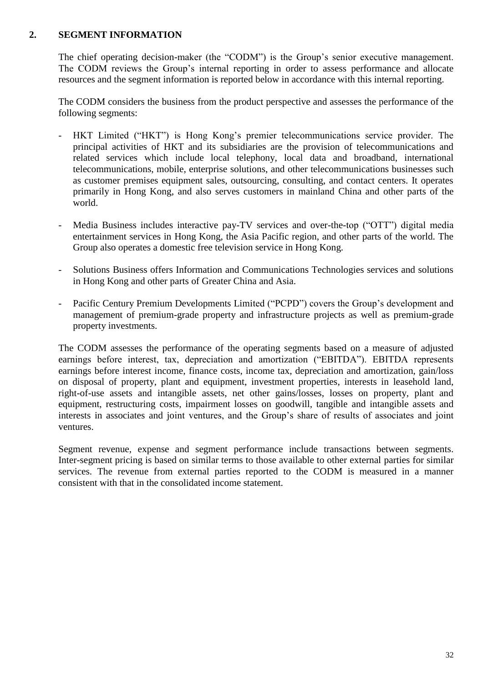#### **2. SEGMENT INFORMATION**

The chief operating decision-maker (the "CODM") is the Group's senior executive management. The CODM reviews the Group's internal reporting in order to assess performance and allocate resources and the segment information is reported below in accordance with this internal reporting.

The CODM considers the business from the product perspective and assesses the performance of the following segments:

- HKT Limited ("HKT") is Hong Kong's premier telecommunications service provider. The principal activities of HKT and its subsidiaries are the provision of telecommunications and related services which include local telephony, local data and broadband, international telecommunications, mobile, enterprise solutions, and other telecommunications businesses such as customer premises equipment sales, outsourcing, consulting, and contact centers. It operates primarily in Hong Kong, and also serves customers in mainland China and other parts of the world.
- Media Business includes interactive pay-TV services and over-the-top ("OTT") digital media entertainment services in Hong Kong, the Asia Pacific region, and other parts of the world. The Group also operates a domestic free television service in Hong Kong.
- Solutions Business offers Information and Communications Technologies services and solutions in Hong Kong and other parts of Greater China and Asia.
- Pacific Century Premium Developments Limited ("PCPD") covers the Group's development and management of premium-grade property and infrastructure projects as well as premium-grade property investments.

The CODM assesses the performance of the operating segments based on a measure of adjusted earnings before interest, tax, depreciation and amortization ("EBITDA"). EBITDA represents earnings before interest income, finance costs, income tax, depreciation and amortization, gain/loss on disposal of property, plant and equipment, investment properties, interests in leasehold land, right-of-use assets and intangible assets, net other gains/losses, losses on property, plant and equipment, restructuring costs, impairment losses on goodwill, tangible and intangible assets and interests in associates and joint ventures, and the Group's share of results of associates and joint ventures.

Segment revenue, expense and segment performance include transactions between segments. Inter-segment pricing is based on similar terms to those available to other external parties for similar services. The revenue from external parties reported to the CODM is measured in a manner consistent with that in the consolidated income statement.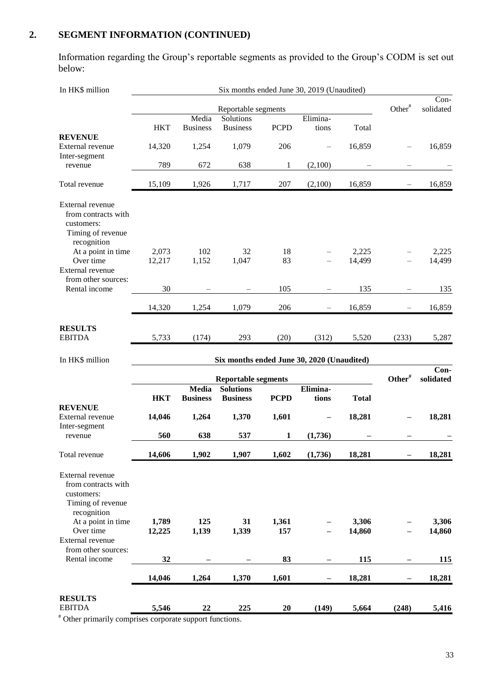# **2. SEGMENT INFORMATION (CONTINUED)**

Information regarding the Group's reportable segments as provided to the Group's CODM is set out below:

| In HK\$ million                                                                           |                     |                                 |                                            |              | Six months ended June 30, 2019 (Unaudited) |                 |                    |                   |
|-------------------------------------------------------------------------------------------|---------------------|---------------------------------|--------------------------------------------|--------------|--------------------------------------------|-----------------|--------------------|-------------------|
|                                                                                           | Reportable segments |                                 |                                            |              |                                            |                 | Other <sup>#</sup> | Con-<br>solidated |
|                                                                                           |                     | Media                           | Solutions                                  |              | Elimina-                                   |                 |                    |                   |
|                                                                                           | <b>HKT</b>          | <b>Business</b>                 | <b>Business</b>                            | <b>PCPD</b>  | tions                                      | Total           |                    |                   |
| <b>REVENUE</b><br>External revenue<br>Inter-segment                                       | 14,320              | 1,254                           | 1,079                                      | 206          |                                            | 16,859          |                    | 16,859            |
| revenue                                                                                   | 789                 | 672                             | 638                                        | $\mathbf{1}$ | (2,100)                                    |                 |                    |                   |
| Total revenue                                                                             | 15,109              | 1,926                           | 1,717                                      | 207          | (2,100)                                    | 16,859          |                    | 16,859            |
| External revenue<br>from contracts with<br>customers:<br>Timing of revenue<br>recognition |                     |                                 |                                            |              |                                            |                 |                    |                   |
| At a point in time<br>Over time<br>External revenue                                       | 2,073<br>12,217     | 102<br>1,152                    | 32<br>1,047                                | 18<br>83     |                                            | 2,225<br>14,499 |                    | 2,225<br>14,499   |
| from other sources:<br>Rental income                                                      | 30                  |                                 |                                            | 105          |                                            | 135             |                    | 135               |
|                                                                                           | 14,320              | 1,254                           | 1,079                                      | 206          |                                            | 16,859          |                    | 16,859            |
| <b>RESULTS</b><br><b>EBITDA</b>                                                           | 5,733               | (174)                           | 293                                        | (20)         | (312)                                      | 5,520           | (233)              | 5,287             |
|                                                                                           |                     |                                 |                                            |              |                                            |                 |                    |                   |
| In HK\$ million                                                                           |                     |                                 | Six months ended June 30, 2020 (Unaudited) |              |                                            |                 |                    |                   |
|                                                                                           |                     |                                 |                                            |              |                                            |                 |                    | Con-              |
|                                                                                           |                     |                                 | <b>Reportable segments</b>                 |              |                                            |                 | Other <sup>#</sup> | solidated         |
|                                                                                           | <b>HKT</b>          | <b>Media</b><br><b>Business</b> | <b>Solutions</b><br><b>Business</b>        | <b>PCPD</b>  | Elimina-<br>tions                          | <b>Total</b>    |                    |                   |
| <b>REVENUE</b><br>External revenue                                                        | 14,046              | 1,264                           | 1,370                                      | 1,601        |                                            | 18,281          |                    | 18,281            |
| Inter-segment<br>revenue                                                                  | 560                 | 638                             | 537                                        | 1            | (1,736)                                    |                 |                    |                   |
| Total revenue                                                                             | 14,606              | 1,902                           | 1,907                                      | 1,602        | (1,736)                                    | 18,281          |                    | 18,281            |
| External revenue<br>from contracts with<br>customers:<br>Timing of revenue                |                     |                                 |                                            |              |                                            |                 |                    |                   |
| recognition<br>At a point in time<br>Over time                                            | 1,789<br>12,225     | 125<br>1,139                    | 31<br>1,339                                | 1,361<br>157 |                                            | 3,306<br>14,860 |                    | 3,306<br>14,860   |
| External revenue<br>from other sources:                                                   |                     |                                 |                                            |              |                                            |                 |                    |                   |
| Rental income                                                                             | 32<br>14,046        |                                 | 1,370                                      | 83           |                                            | 115             |                    | <u>115</u>        |
| <b>RESULTS</b><br><b>EBITDA</b>                                                           | 5,546               | 1,264<br>$\bf{22}$              | 225                                        | 1,601<br>20  | (149)                                      | 18,281<br>5,664 | (248)              | 18,281<br>5,416   |

# Other primarily comprises corporate support functions.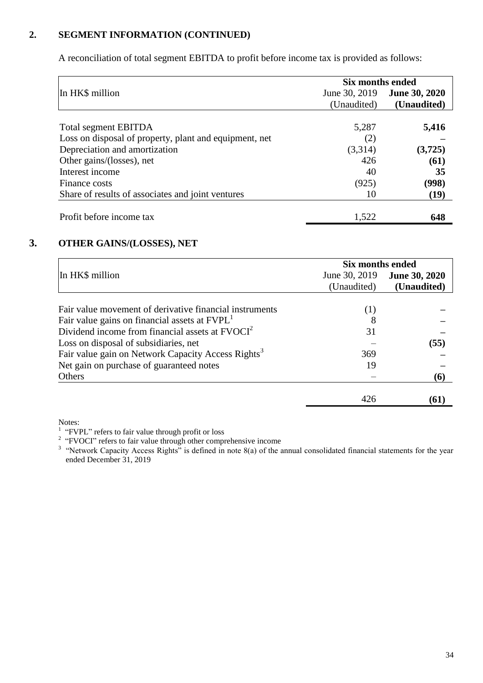# **2. SEGMENT INFORMATION (CONTINUED)**

A reconciliation of total segment EBITDA to profit before income tax is provided as follows:

|                                                        | Six months ended |                      |
|--------------------------------------------------------|------------------|----------------------|
| In HK\$ million                                        | June 30, 2019    | <b>June 30, 2020</b> |
|                                                        | (Unaudited)      | (Unaudited)          |
|                                                        |                  |                      |
| <b>Total segment EBITDA</b>                            | 5,287            | 5,416                |
| Loss on disposal of property, plant and equipment, net | (2)              |                      |
| Depreciation and amortization                          | (3,314)          | (3,725)              |
| Other gains/(losses), net                              | 426              | (61)                 |
| Interest income                                        | 40               | 35                   |
| Finance costs                                          | (925)            | (998)                |
| Share of results of associates and joint ventures      | 10               | (19)                 |
| Profit before income tax                               | 1,522            | 648                  |

# **3. OTHER GAINS/(LOSSES), NET**

|                                                                | <b>Six months ended</b> |                      |  |  |
|----------------------------------------------------------------|-------------------------|----------------------|--|--|
| In HK\$ million                                                | June 30, 2019           | <b>June 30, 2020</b> |  |  |
|                                                                | (Unaudited)             | (Unaudited)          |  |  |
|                                                                |                         |                      |  |  |
| Fair value movement of derivative financial instruments        | (1)                     |                      |  |  |
| Fair value gains on financial assets at FVPL <sup>1</sup>      | 8                       |                      |  |  |
| Dividend income from financial assets at $FVOCI2$              | 31                      |                      |  |  |
| Loss on disposal of subsidiaries, net                          |                         | (55)                 |  |  |
| Fair value gain on Network Capacity Access Rights <sup>3</sup> | 369                     |                      |  |  |
| Net gain on purchase of guaranteed notes                       | 19                      |                      |  |  |
| Others                                                         |                         | (6)                  |  |  |
|                                                                | 426                     | 61)                  |  |  |

Notes:

<sup>3</sup> "Network Capacity Access Rights" is defined in note  $8(a)$  of the annual consolidated financial statements for the year ended December 31, 2019

<sup>&</sup>lt;sup>1</sup> "FVPL" refers to fair value through profit or loss<br><sup>2</sup> "FVOCI" refers to fair value through other comprehensive income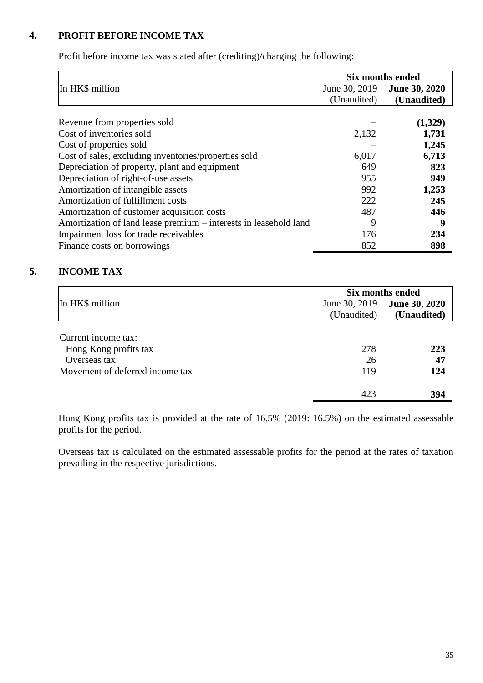# **4. PROFIT BEFORE INCOME TAX**

Profit before income tax was stated after (crediting)/charging the following:

|                                                                  |               | <b>Six months ended</b> |  |  |
|------------------------------------------------------------------|---------------|-------------------------|--|--|
|                                                                  |               |                         |  |  |
| In HK\$ million                                                  | June 30, 2019 | <b>June 30, 2020</b>    |  |  |
|                                                                  | (Unaudited)   | (Unaudited)             |  |  |
|                                                                  |               |                         |  |  |
| Revenue from properties sold                                     |               | (1,329)                 |  |  |
| Cost of inventories sold                                         | 2,132         | 1,731                   |  |  |
| Cost of properties sold                                          |               | 1,245                   |  |  |
| Cost of sales, excluding inventories/properties sold             | 6,017         | 6,713                   |  |  |
| Depreciation of property, plant and equipment                    | 649           | 823                     |  |  |
| Depreciation of right-of-use assets                              | 955           | 949                     |  |  |
| Amortization of intangible assets                                | 992           | 1,253                   |  |  |
| Amortization of fulfillment costs                                | 222           | 245                     |  |  |
| Amortization of customer acquisition costs                       | 487           | 446                     |  |  |
| Amortization of land lease premium - interests in leasehold land | 9             | 9                       |  |  |
| Impairment loss for trade receivables                            | 176           | 234                     |  |  |
| Finance costs on borrowings                                      | 852           | 898                     |  |  |

# **5. INCOME TAX**

|                                 | Six months ended |                      |  |  |
|---------------------------------|------------------|----------------------|--|--|
| In HK\$ million                 | June 30, 2019    | <b>June 30, 2020</b> |  |  |
|                                 | (Unaudited)      | (Unaudited)          |  |  |
|                                 |                  |                      |  |  |
| Current income tax:             |                  |                      |  |  |
| Hong Kong profits tax           | 278              | 223                  |  |  |
| Overseas tax                    | 26               | 47                   |  |  |
| Movement of deferred income tax | 119              | 124                  |  |  |
|                                 | 423              | 394                  |  |  |

Hong Kong profits tax is provided at the rate of 16.5% (2019: 16.5%) on the estimated assessable profits for the period.

Overseas tax is calculated on the estimated assessable profits for the period at the rates of taxation prevailing in the respective jurisdictions.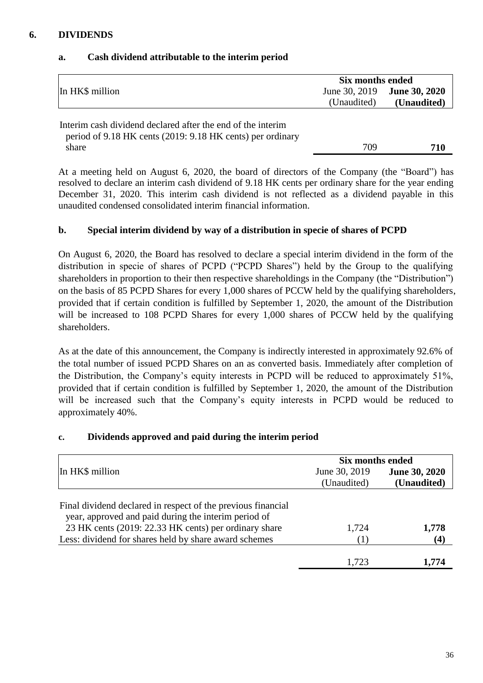# **6. DIVIDENDS**

|                                                                                                                           | Six months ended |                      |
|---------------------------------------------------------------------------------------------------------------------------|------------------|----------------------|
| In HK\$ million                                                                                                           | June 30, 2019    | <b>June 30, 2020</b> |
|                                                                                                                           | (Unaudited)      | (Unaudited)          |
| Interim cash dividend declared after the end of the interim<br>period of 9.18 HK cents (2019: 9.18 HK cents) per ordinary |                  |                      |
| share                                                                                                                     | 709              | 710                  |

# **a. Cash dividend attributable to the interim period**

At a meeting held on August 6, 2020, the board of directors of the Company (the "Board") has resolved to declare an interim cash dividend of 9.18 HK cents per ordinary share for the year ending December 31, 2020. This interim cash dividend is not reflected as a dividend payable in this unaudited condensed consolidated interim financial information.

# **b. Special interim dividend by way of a distribution in specie of shares of PCPD**

On August 6, 2020, the Board has resolved to declare a special interim dividend in the form of the distribution in specie of shares of PCPD ("PCPD Shares") held by the Group to the qualifying shareholders in proportion to their then respective shareholdings in the Company (the "Distribution") on the basis of 85 PCPD Shares for every 1,000 shares of PCCW held by the qualifying shareholders, provided that if certain condition is fulfilled by September 1, 2020, the amount of the Distribution will be increased to 108 PCPD Shares for every 1,000 shares of PCCW held by the qualifying shareholders.

As at the date of this announcement, the Company is indirectly interested in approximately 92.6% of the total number of issued PCPD Shares on an as converted basis. Immediately after completion of the Distribution, the Company's equity interests in PCPD will be reduced to approximately 51%, provided that if certain condition is fulfilled by September 1, 2020, the amount of the Distribution will be increased such that the Company's equity interests in PCPD would be reduced to approximately 40%.

# **c. Dividends approved and paid during the interim period**

|                                                                                                                                                                                                                                        | Six months ended             |                                     |  |
|----------------------------------------------------------------------------------------------------------------------------------------------------------------------------------------------------------------------------------------|------------------------------|-------------------------------------|--|
| In HK\$ million                                                                                                                                                                                                                        | June 30, 2019<br>(Unaudited) | <b>June 30, 2020</b><br>(Unaudited) |  |
| Final dividend declared in respect of the previous financial<br>year, approved and paid during the interim period of<br>23 HK cents (2019: 22.33 HK cents) per ordinary share<br>Less: dividend for shares held by share award schemes | 1,724                        | 1,778<br>$\bf(4)$                   |  |
|                                                                                                                                                                                                                                        | 1,723                        | 1.774                               |  |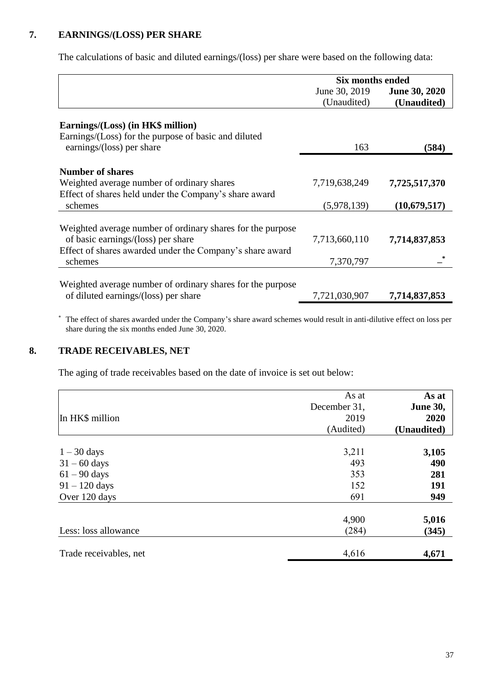# **7. EARNINGS/(LOSS) PER SHARE**

The calculations of basic and diluted earnings/(loss) per share were based on the following data:

|                                                            | <b>Six months ended</b> |                      |  |
|------------------------------------------------------------|-------------------------|----------------------|--|
|                                                            | June 30, 2019           | <b>June 30, 2020</b> |  |
|                                                            | (Unaudited)             | (Unaudited)          |  |
|                                                            |                         |                      |  |
| Earnings/(Loss) (in HK\$ million)                          |                         |                      |  |
| Earnings/(Loss) for the purpose of basic and diluted       |                         |                      |  |
| earnings/(loss) per share                                  | 163                     | (584)                |  |
|                                                            |                         |                      |  |
| <b>Number of shares</b>                                    |                         |                      |  |
| Weighted average number of ordinary shares                 | 7,719,638,249           | 7,725,517,370        |  |
| Effect of shares held under the Company's share award      |                         |                      |  |
| schemes                                                    | (5,978,139)             | (10,679,517)         |  |
|                                                            |                         |                      |  |
| Weighted average number of ordinary shares for the purpose |                         |                      |  |
| of basic earnings/(loss) per share                         | 7,713,660,110           | 7,714,837,853        |  |
| Effect of shares awarded under the Company's share award   |                         |                      |  |
| schemes                                                    | 7,370,797               |                      |  |
|                                                            |                         |                      |  |
| Weighted average number of ordinary shares for the purpose |                         |                      |  |
| of diluted earnings/(loss) per share                       | 7,721,030,907           | 7,714,837,853        |  |

 The effect of shares awarded under the Company's share award schemes would result in anti-dilutive effect on loss per share during the six months ended June 30, 2020.

# **8. TRADE RECEIVABLES, NET**

The aging of trade receivables based on the date of invoice is set out below:

| In HK\$ million        | As at<br>December 31,<br>2019<br>(Audited) | As at<br><b>June 30,</b><br>2020<br>(Unaudited) |
|------------------------|--------------------------------------------|-------------------------------------------------|
| $1 - 30$ days          | 3,211                                      | 3,105                                           |
| $31 - 60$ days         | 493                                        | 490                                             |
| $61 - 90$ days         | 353                                        | 281                                             |
| $91 - 120$ days        | 152                                        | 191                                             |
| Over 120 days          | 691                                        | 949                                             |
|                        | 4,900                                      | 5,016                                           |
| Less: loss allowance   | (284)                                      | (345)                                           |
| Trade receivables, net | 4,616                                      | 4,671                                           |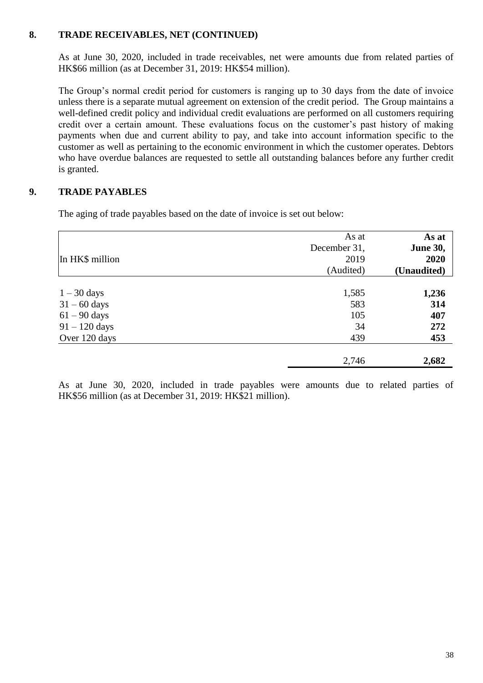## **8. TRADE RECEIVABLES, NET (CONTINUED)**

As at June 30, 2020, included in trade receivables, net were amounts due from related parties of HK\$66 million (as at December 31, 2019: HK\$54 million).

The Group's normal credit period for customers is ranging up to 30 days from the date of invoice unless there is a separate mutual agreement on extension of the credit period. The Group maintains a well-defined credit policy and individual credit evaluations are performed on all customers requiring credit over a certain amount. These evaluations focus on the customer's past history of making payments when due and current ability to pay, and take into account information specific to the customer as well as pertaining to the economic environment in which the customer operates. Debtors who have overdue balances are requested to settle all outstanding balances before any further credit is granted.

# **9. TRADE PAYABLES**

The aging of trade payables based on the date of invoice is set out below:

|                 | As at<br>December 31, | As at<br><b>June 30,</b> |
|-----------------|-----------------------|--------------------------|
| In HK\$ million | 2019<br>(Audited)     | 2020<br>(Unaudited)      |
| $1 - 30$ days   | 1,585                 | 1,236                    |
| $31 - 60$ days  | 583                   | 314                      |
| $61 - 90$ days  | 105                   | 407                      |
| $91 - 120$ days | 34                    | 272                      |
| Over 120 days   | 439                   | 453                      |
|                 | 2,746                 | 2,682                    |

As at June 30, 2020, included in trade payables were amounts due to related parties of HK\$56 million (as at December 31, 2019: HK\$21 million).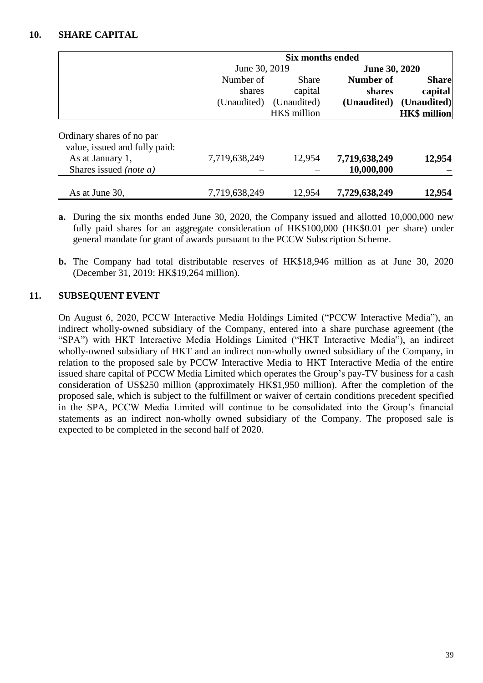#### **10. SHARE CAPITAL**

|                                                            | <b>Six months ended</b>            |                                                        |                                           |                                                               |
|------------------------------------------------------------|------------------------------------|--------------------------------------------------------|-------------------------------------------|---------------------------------------------------------------|
|                                                            | June 30, 2019                      |                                                        | <b>June 30, 2020</b>                      |                                                               |
|                                                            | Number of<br>shares<br>(Unaudited) | <b>Share</b><br>capital<br>(Unaudited)<br>HK\$ million | <b>Number of</b><br>shares<br>(Unaudited) | <b>Share</b><br>capital<br>(Unaudited)<br><b>HK\$</b> million |
| Ordinary shares of no par<br>value, issued and fully paid: |                                    |                                                        |                                           |                                                               |
| As at January 1,<br>Shares issued <i>(note a)</i>          | 7,719,638,249                      | 12,954                                                 | 7,719,638,249<br>10,000,000               | 12,954                                                        |
| As at June 30,                                             | 7,719,638,249                      | 12,954                                                 | 7,729,638,249                             | 12,954                                                        |

- **a.** During the six months ended June 30, 2020, the Company issued and allotted 10,000,000 new fully paid shares for an aggregate consideration of HK\$100,000 (HK\$0.01 per share) under general mandate for grant of awards pursuant to the PCCW Subscription Scheme.
- **b.** The Company had total distributable reserves of HK\$18,946 million as at June 30, 2020 (December 31, 2019: HK\$19,264 million).

# **11. SUBSEQUENT EVENT**

On August 6, 2020, PCCW Interactive Media Holdings Limited ("PCCW Interactive Media"), an indirect wholly-owned subsidiary of the Company, entered into a share purchase agreement (the "SPA") with HKT Interactive Media Holdings Limited ("HKT Interactive Media"), an indirect wholly-owned subsidiary of HKT and an indirect non-wholly owned subsidiary of the Company, in relation to the proposed sale by PCCW Interactive Media to HKT Interactive Media of the entire issued share capital of PCCW Media Limited which operates the Group's pay-TV business for a cash consideration of US\$250 million (approximately HK\$1,950 million). After the completion of the proposed sale, which is subject to the fulfillment or waiver of certain conditions precedent specified in the SPA, PCCW Media Limited will continue to be consolidated into the Group's financial statements as an indirect non-wholly owned subsidiary of the Company. The proposed sale is expected to be completed in the second half of 2020.